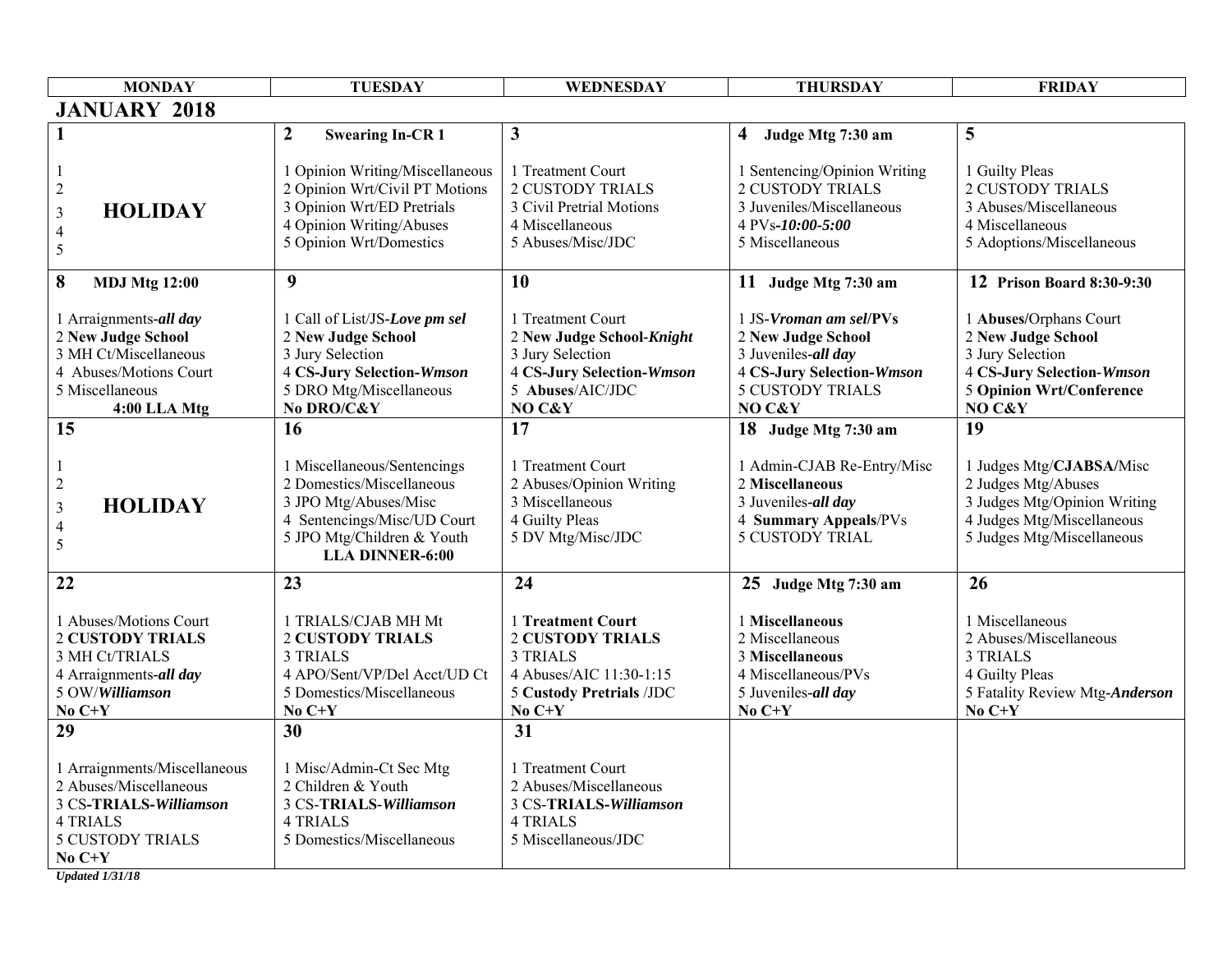| <b>MONDAY</b>                                                                                                                              | <b>TUESDAY</b>                                                                                                                                                           | WEDNESDAY                                                                                                                          | <b>THURSDAY</b>                                                                                                                              | <b>FRIDAY</b>                                                                                                                                     |
|--------------------------------------------------------------------------------------------------------------------------------------------|--------------------------------------------------------------------------------------------------------------------------------------------------------------------------|------------------------------------------------------------------------------------------------------------------------------------|----------------------------------------------------------------------------------------------------------------------------------------------|---------------------------------------------------------------------------------------------------------------------------------------------------|
| <b>JANUARY 2018</b>                                                                                                                        |                                                                                                                                                                          |                                                                                                                                    |                                                                                                                                              |                                                                                                                                                   |
|                                                                                                                                            | $\boldsymbol{2}$<br><b>Swearing In-CR1</b>                                                                                                                               | $\mathbf{3}$                                                                                                                       | 4 Judge Mtg 7:30 am                                                                                                                          | 5                                                                                                                                                 |
| $\overline{c}$<br><b>HOLIDAY</b><br>$\mathfrak{Z}$<br>$\overline{\mathcal{A}}$<br>5                                                        | 1 Opinion Writing/Miscellaneous<br>2 Opinion Wrt/Civil PT Motions<br>3 Opinion Wrt/ED Pretrials<br>4 Opinion Writing/Abuses<br>5 Opinion Wrt/Domestics                   | 1 Treatment Court<br><b>2 CUSTODY TRIALS</b><br>3 Civil Pretrial Motions<br>4 Miscellaneous<br>5 Abuses/Misc/JDC                   | 1 Sentencing/Opinion Writing<br><b>2 CUSTODY TRIALS</b><br>3 Juveniles/Miscellaneous<br>4 PVs-10:00-5:00<br>5 Miscellaneous                  | 1 Guilty Pleas<br><b>2 CUSTODY TRIALS</b><br>3 Abuses/Miscellaneous<br>4 Miscellaneous<br>5 Adoptions/Miscellaneous                               |
| 8<br><b>MDJ Mtg 12:00</b>                                                                                                                  | 9                                                                                                                                                                        | 10                                                                                                                                 | 11 Judge Mtg 7:30 am                                                                                                                         | 12 Prison Board 8:30-9:30                                                                                                                         |
| 1 Arraignments-all day<br>2 New Judge School<br>3 MH Ct/Miscellaneous<br>4 Abuses/Motions Court<br>5 Miscellaneous<br>4:00 LLA Mtg         | 1 Call of List/JS-Love pm sel<br>2 New Judge School<br>3 Jury Selection<br><b>4 CS-Jury Selection-Wmson</b><br>5 DRO Mtg/Miscellaneous<br>No DRO/C&Y                     | 1 Treatment Court<br>2 New Judge School-Knight<br>3 Jury Selection<br>4 CS-Jury Selection-Wmson<br>5 Abuses/AIC/JDC<br>NO C&Y      | 1 JS-Vroman am sel/PVs<br>2 New Judge School<br>3 Juveniles-all day<br><b>4 CS-Jury Selection-Wmson</b><br><b>5 CUSTODY TRIALS</b><br>NO C&Y | 1 Abuses/Orphans Court<br>2 New Judge School<br>3 Jury Selection<br><b>4 CS-Jury Selection-Wmson</b><br><b>5 Opinion Wrt/Conference</b><br>NO C&Y |
| 15                                                                                                                                         | 16                                                                                                                                                                       | 17                                                                                                                                 | 18 Judge Mtg 7:30 am                                                                                                                         | 19                                                                                                                                                |
| $\overline{c}$<br><b>HOLIDAY</b><br>$\mathfrak{Z}$<br>$\overline{4}$<br>$\sqrt{5}$                                                         | 1 Miscellaneous/Sentencings<br>2 Domestics/Miscellaneous<br>3 JPO Mtg/Abuses/Misc<br>4 Sentencings/Misc/UD Court<br>5 JPO Mtg/Children & Youth<br><b>LLA DINNER-6:00</b> | 1 Treatment Court<br>2 Abuses/Opinion Writing<br>3 Miscellaneous<br>4 Guilty Pleas<br>5 DV Mtg/Misc/JDC                            | 1 Admin-CJAB Re-Entry/Misc<br>2 Miscellaneous<br>3 Juveniles-all day<br>4 Summary Appeals/PVs<br><b>5 CUSTODY TRIAL</b>                      | 1 Judges Mtg/CJABSA/Misc<br>2 Judges Mtg/Abuses<br>3 Judges Mtg/Opinion Writing<br>4 Judges Mtg/Miscellaneous<br>5 Judges Mtg/Miscellaneous       |
| 22                                                                                                                                         | 23                                                                                                                                                                       | 24                                                                                                                                 | 25 Judge Mtg 7:30 am                                                                                                                         | 26                                                                                                                                                |
| 1 Abuses/Motions Court<br><b>2 CUSTODY TRIALS</b><br>3 MH Ct/TRIALS<br>4 Arraignments-all day<br>5 OW/Williamson<br>No $C+Y$               | 1 TRIALS/CJAB MH Mt<br><b>2 CUSTODY TRIALS</b><br><b>3 TRIALS</b><br>4 APO/Sent/VP/Del Acct/UD Ct<br>5 Domestics/Miscellaneous<br>No $C+Y$                               | 1 Treatment Court<br><b>2 CUSTODY TRIALS</b><br><b>3 TRIALS</b><br>4 Abuses/AIC 11:30-1:15<br>5 Custody Pretrials /JDC<br>$No C+Y$ | 1 Miscellaneous<br>2 Miscellaneous<br>3 Miscellaneous<br>4 Miscellaneous/PVs<br>5 Juveniles-all day<br>$No C+Y$                              | 1 Miscellaneous<br>2 Abuses/Miscellaneous<br><b>3 TRIALS</b><br>4 Guilty Pleas<br>5 Fatality Review Mtg-Anderson<br>No $C+Y$                      |
| 29                                                                                                                                         | 30                                                                                                                                                                       | 31                                                                                                                                 |                                                                                                                                              |                                                                                                                                                   |
| 1 Arraignments/Miscellaneous<br>2 Abuses/Miscellaneous<br>3 CS-TRIALS-Williamson<br><b>4 TRIALS</b><br><b>5 CUSTODY TRIALS</b><br>No $C+Y$ | 1 Misc/Admin-Ct Sec Mtg<br>2 Children & Youth<br>3 CS-TRIALS-Williamson<br><b>4 TRIALS</b><br>5 Domestics/Miscellaneous                                                  | 1 Treatment Court<br>2 Abuses/Miscellaneous<br>3 CS-TRIALS-Williamson<br><b>4 TRIALS</b><br>5 Miscellaneous/JDC                    |                                                                                                                                              |                                                                                                                                                   |

*Updated 1/31/18*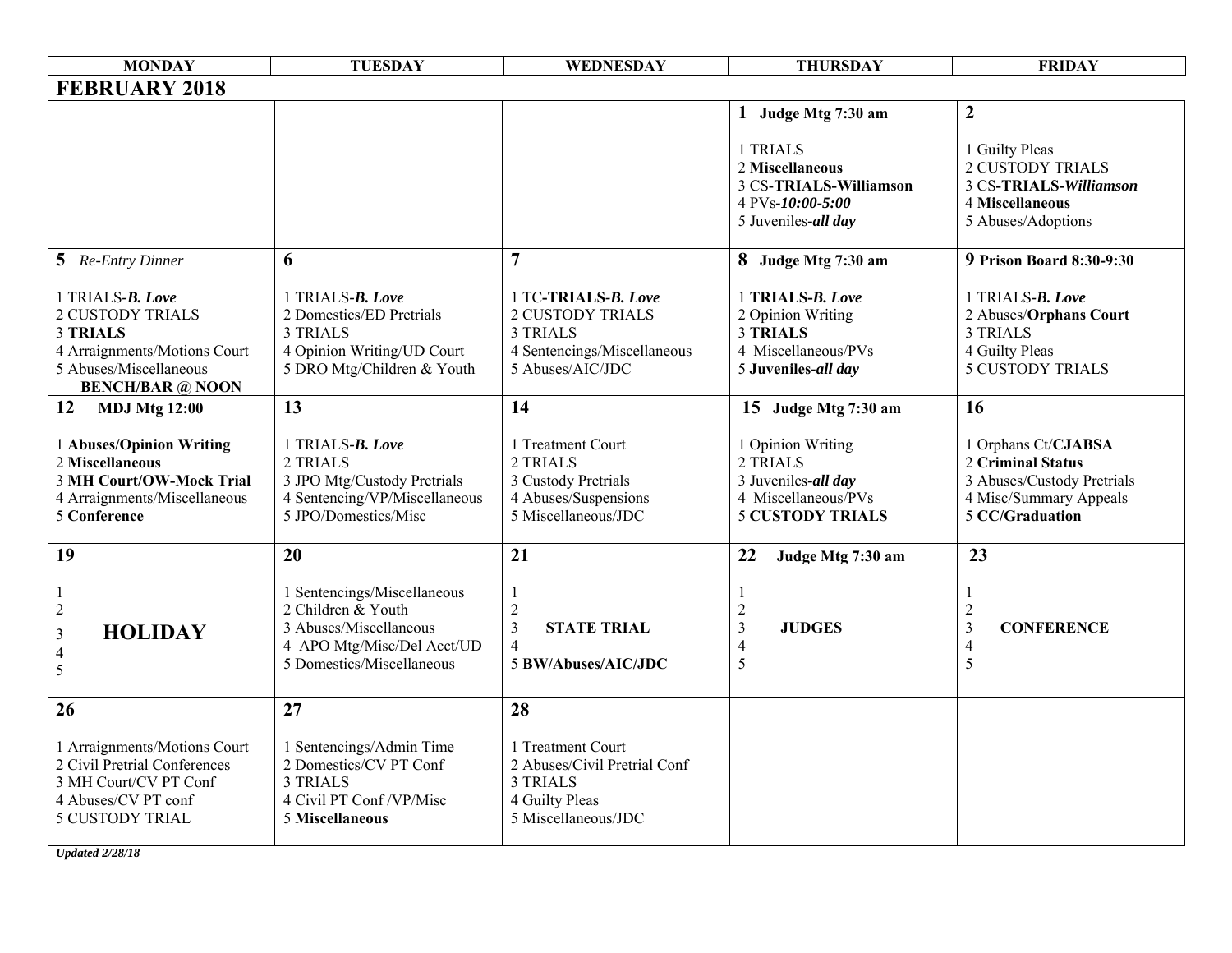| <b>MONDAY</b>                                                                                                                                       | <b>TUESDAY</b>                                                                                                                         | WEDNESDAY                                                                                                            | <b>THURSDAY</b>                                                                                        | <b>FRIDAY</b>                                                                                                       |
|-----------------------------------------------------------------------------------------------------------------------------------------------------|----------------------------------------------------------------------------------------------------------------------------------------|----------------------------------------------------------------------------------------------------------------------|--------------------------------------------------------------------------------------------------------|---------------------------------------------------------------------------------------------------------------------|
| <b>FEBRUARY 2018</b>                                                                                                                                |                                                                                                                                        |                                                                                                                      |                                                                                                        |                                                                                                                     |
|                                                                                                                                                     |                                                                                                                                        |                                                                                                                      | 1 Judge Mtg 7:30 am                                                                                    | $\boldsymbol{2}$                                                                                                    |
|                                                                                                                                                     |                                                                                                                                        |                                                                                                                      | 1 TRIALS<br>2 Miscellaneous<br>3 CS-TRIALS-Williamson<br>4 PVs-10:00-5:00<br>5 Juveniles-all day       | 1 Guilty Pleas<br><b>2 CUSTODY TRIALS</b><br>3 CS-TRIALS-Williamson<br>4 Miscellaneous<br>5 Abuses/Adoptions        |
| 5 Re-Entry Dinner                                                                                                                                   | 6                                                                                                                                      | $\overline{7}$                                                                                                       | 8 Judge Mtg 7:30 am                                                                                    | <b>9 Prison Board 8:30-9:30</b>                                                                                     |
| 1 TRIALS-B. Love<br><b>2 CUSTODY TRIALS</b><br><b>3 TRIALS</b><br>4 Arraignments/Motions Court<br>5 Abuses/Miscellaneous<br><b>BENCH/BAR</b> @ NOON | 1 TRIALS-B. Love<br>2 Domestics/ED Pretrials<br><b>3 TRIALS</b><br>4 Opinion Writing/UD Court<br>5 DRO Mtg/Children & Youth            | 1 TC-TRIALS-B. Love<br><b>2 CUSTODY TRIALS</b><br><b>3 TRIALS</b><br>4 Sentencings/Miscellaneous<br>5 Abuses/AIC/JDC | 1 TRIALS-B. Love<br>2 Opinion Writing<br><b>3 TRIALS</b><br>4 Miscellaneous/PVs<br>5 Juveniles-all day | 1 TRIALS-B. Love<br>2 Abuses/Orphans Court<br><b>3 TRIALS</b><br>4 Guilty Pleas<br><b>5 CUSTODY TRIALS</b>          |
| 12<br><b>MDJ Mtg 12:00</b>                                                                                                                          | 13                                                                                                                                     | 14                                                                                                                   | 15 Judge Mtg 7:30 am                                                                                   | 16                                                                                                                  |
| 1 Abuses/Opinion Writing<br>2 Miscellaneous<br>3 MH Court/OW-Mock Trial<br>4 Arraignments/Miscellaneous<br><b>5 Conference</b>                      | 1 TRIALS-B. Love<br>2 TRIALS<br>3 JPO Mtg/Custody Pretrials<br>4 Sentencing/VP/Miscellaneous<br>5 JPO/Domestics/Misc                   | 1 Treatment Court<br>2 TRIALS<br>3 Custody Pretrials<br>4 Abuses/Suspensions<br>5 Miscellaneous/JDC                  | 1 Opinion Writing<br>2 TRIALS<br>3 Juveniles-all day<br>4 Miscellaneous/PVs<br><b>5 CUSTODY TRIALS</b> | 1 Orphans Ct/CJABSA<br>2 Criminal Status<br>3 Abuses/Custody Pretrials<br>4 Misc/Summary Appeals<br>5 CC/Graduation |
| 19                                                                                                                                                  | 20                                                                                                                                     | 21                                                                                                                   | 22<br>Judge Mtg 7:30 am                                                                                | 23                                                                                                                  |
| $\sqrt{2}$<br><b>HOLIDAY</b><br>$\mathfrak{Z}$<br>$\overline{4}$<br>5                                                                               | 1 Sentencings/Miscellaneous<br>2 Children & Youth<br>3 Abuses/Miscellaneous<br>4 APO Mtg/Misc/Del Acct/UD<br>5 Domestics/Miscellaneous | $\sqrt{2}$<br>$\mathfrak{Z}$<br><b>STATE TRIAL</b><br>$\overline{4}$<br>5 BW/Abuses/AIC/JDC                          | $\overline{c}$<br><b>JUDGES</b><br>3<br>4<br>5                                                         | $\sqrt{2}$<br>$\mathfrak{Z}$<br><b>CONFERENCE</b><br>$\overline{4}$<br>5                                            |
| 26                                                                                                                                                  | 27                                                                                                                                     | 28                                                                                                                   |                                                                                                        |                                                                                                                     |
| 1 Arraignments/Motions Court<br>2 Civil Pretrial Conferences<br>3 MH Court/CV PT Conf<br>4 Abuses/CV PT conf<br><b>5 CUSTODY TRIAL</b>              | 1 Sentencings/Admin Time<br>2 Domestics/CV PT Conf<br><b>3 TRIALS</b><br>4 Civil PT Conf / VP/Misc<br>5 Miscellaneous                  | 1 Treatment Court<br>2 Abuses/Civil Pretrial Conf<br><b>3 TRIALS</b><br>4 Guilty Pleas<br>5 Miscellaneous/JDC        |                                                                                                        |                                                                                                                     |

*Updated 2/28/18*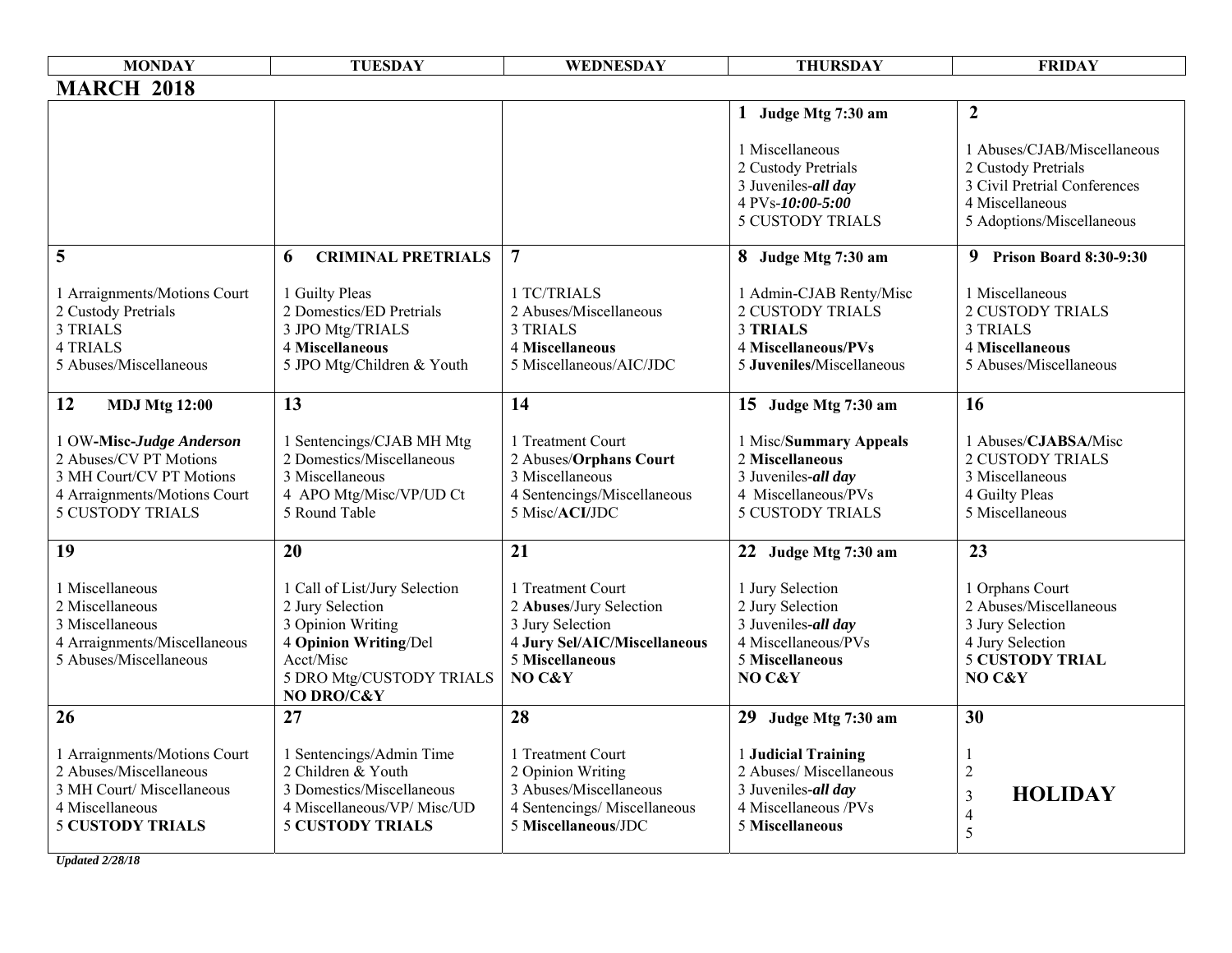| <b>MONDAY</b>                                                                                                                             | <b>TUESDAY</b>                                                                                                                                         | WEDNESDAY                                                                                                                     | <b>THURSDAY</b>                                                                                                           | <b>FRIDAY</b>                                                                                                                      |
|-------------------------------------------------------------------------------------------------------------------------------------------|--------------------------------------------------------------------------------------------------------------------------------------------------------|-------------------------------------------------------------------------------------------------------------------------------|---------------------------------------------------------------------------------------------------------------------------|------------------------------------------------------------------------------------------------------------------------------------|
| <b>MARCH 2018</b>                                                                                                                         |                                                                                                                                                        |                                                                                                                               |                                                                                                                           |                                                                                                                                    |
|                                                                                                                                           |                                                                                                                                                        |                                                                                                                               | 1 Judge Mtg 7:30 am                                                                                                       | $\overline{2}$                                                                                                                     |
|                                                                                                                                           |                                                                                                                                                        |                                                                                                                               | 1 Miscellaneous<br>2 Custody Pretrials<br>3 Juveniles-all day<br>4 PVs-10:00-5:00<br><b>5 CUSTODY TRIALS</b>              | 1 Abuses/CJAB/Miscellaneous<br>2 Custody Pretrials<br>3 Civil Pretrial Conferences<br>4 Miscellaneous<br>5 Adoptions/Miscellaneous |
| 5                                                                                                                                         | <b>CRIMINAL PRETRIALS</b><br>6                                                                                                                         | $\overline{7}$                                                                                                                | 8 Judge Mtg 7:30 am                                                                                                       | 9 Prison Board 8:30-9:30                                                                                                           |
| 1 Arraignments/Motions Court<br>2 Custody Pretrials<br><b>3 TRIALS</b><br><b>4 TRIALS</b><br>5 Abuses/Miscellaneous                       | 1 Guilty Pleas<br>2 Domestics/ED Pretrials<br>3 JPO Mtg/TRIALS<br>4 Miscellaneous<br>5 JPO Mtg/Children & Youth                                        | 1 TC/TRIALS<br>2 Abuses/Miscellaneous<br><b>3 TRIALS</b><br>4 Miscellaneous<br>5 Miscellaneous/AIC/JDC                        | 1 Admin-CJAB Renty/Misc<br><b>2 CUSTODY TRIALS</b><br><b>3 TRIALS</b><br>4 Miscellaneous/PVs<br>5 Juveniles/Miscellaneous | 1 Miscellaneous<br><b>2 CUSTODY TRIALS</b><br><b>3 TRIALS</b><br>4 Miscellaneous<br>5 Abuses/Miscellaneous                         |
| 12<br><b>MDJ Mtg 12:00</b>                                                                                                                | 13                                                                                                                                                     | 14                                                                                                                            | 15 Judge Mtg 7:30 am                                                                                                      | 16                                                                                                                                 |
| 1 OW-Misc-Judge Anderson<br>2 Abuses/CV PT Motions<br>3 MH Court/CV PT Motions<br>4 Arraignments/Motions Court<br><b>5 CUSTODY TRIALS</b> | 1 Sentencings/CJAB MH Mtg<br>2 Domestics/Miscellaneous<br>3 Miscellaneous<br>4 APO Mtg/Misc/VP/UD Ct<br>5 Round Table                                  | 1 Treatment Court<br>2 Abuses/Orphans Court<br>3 Miscellaneous<br>4 Sentencings/Miscellaneous<br>5 Misc/ACI/JDC               | 1 Misc/Summary Appeals<br>2 Miscellaneous<br>3 Juveniles-all day<br>4 Miscellaneous/PVs<br><b>5 CUSTODY TRIALS</b>        | 1 Abuses/CJABSA/Misc<br><b>2 CUSTODY TRIALS</b><br>3 Miscellaneous<br>4 Guilty Pleas<br>5 Miscellaneous                            |
| 19                                                                                                                                        | 20                                                                                                                                                     | 21                                                                                                                            | 22 Judge Mtg 7:30 am                                                                                                      | 23                                                                                                                                 |
| 1 Miscellaneous<br>2 Miscellaneous<br>3 Miscellaneous<br>4 Arraignments/Miscellaneous<br>5 Abuses/Miscellaneous                           | 1 Call of List/Jury Selection<br>2 Jury Selection<br>3 Opinion Writing<br>4 Opinion Writing/Del<br>Acct/Misc<br>5 DRO Mtg/CUSTODY TRIALS<br>NO DRO/C&Y | 1 Treatment Court<br>2 Abuses/Jury Selection<br>3 Jury Selection<br>4 Jury Sel/AIC/Miscellaneous<br>5 Miscellaneous<br>NO C&Y | 1 Jury Selection<br>2 Jury Selection<br>3 Juveniles-all day<br>4 Miscellaneous/PVs<br><b>5 Miscellaneous</b><br>NO C&Y    | 1 Orphans Court<br>2 Abuses/Miscellaneous<br>3 Jury Selection<br>4 Jury Selection<br><b>5 CUSTODY TRIAL</b><br>NO C&Y              |
| 26                                                                                                                                        | 27                                                                                                                                                     | 28                                                                                                                            | 29<br>Judge Mtg 7:30 am                                                                                                   | 30                                                                                                                                 |
| 1 Arraignments/Motions Court<br>2 Abuses/Miscellaneous<br>3 MH Court/ Miscellaneous<br>4 Miscellaneous<br><b>5 CUSTODY TRIALS</b>         | 1 Sentencings/Admin Time<br>2 Children & Youth<br>3 Domestics/Miscellaneous<br>4 Miscellaneous/VP/ Misc/UD<br><b>5 CUSTODY TRIALS</b>                  | 1 Treatment Court<br>2 Opinion Writing<br>3 Abuses/Miscellaneous<br>4 Sentencings/Miscellaneous<br>5 Miscellaneous/JDC        | 1 Judicial Training<br>2 Abuses/ Miscellaneous<br>3 Juveniles-all day<br>4 Miscellaneous /PVs<br><b>5 Miscellaneous</b>   | -1<br>$\overline{c}$<br><b>HOLIDAY</b><br>$\overline{3}$<br>$\overline{4}$<br>5                                                    |

*Updated 2/28/18*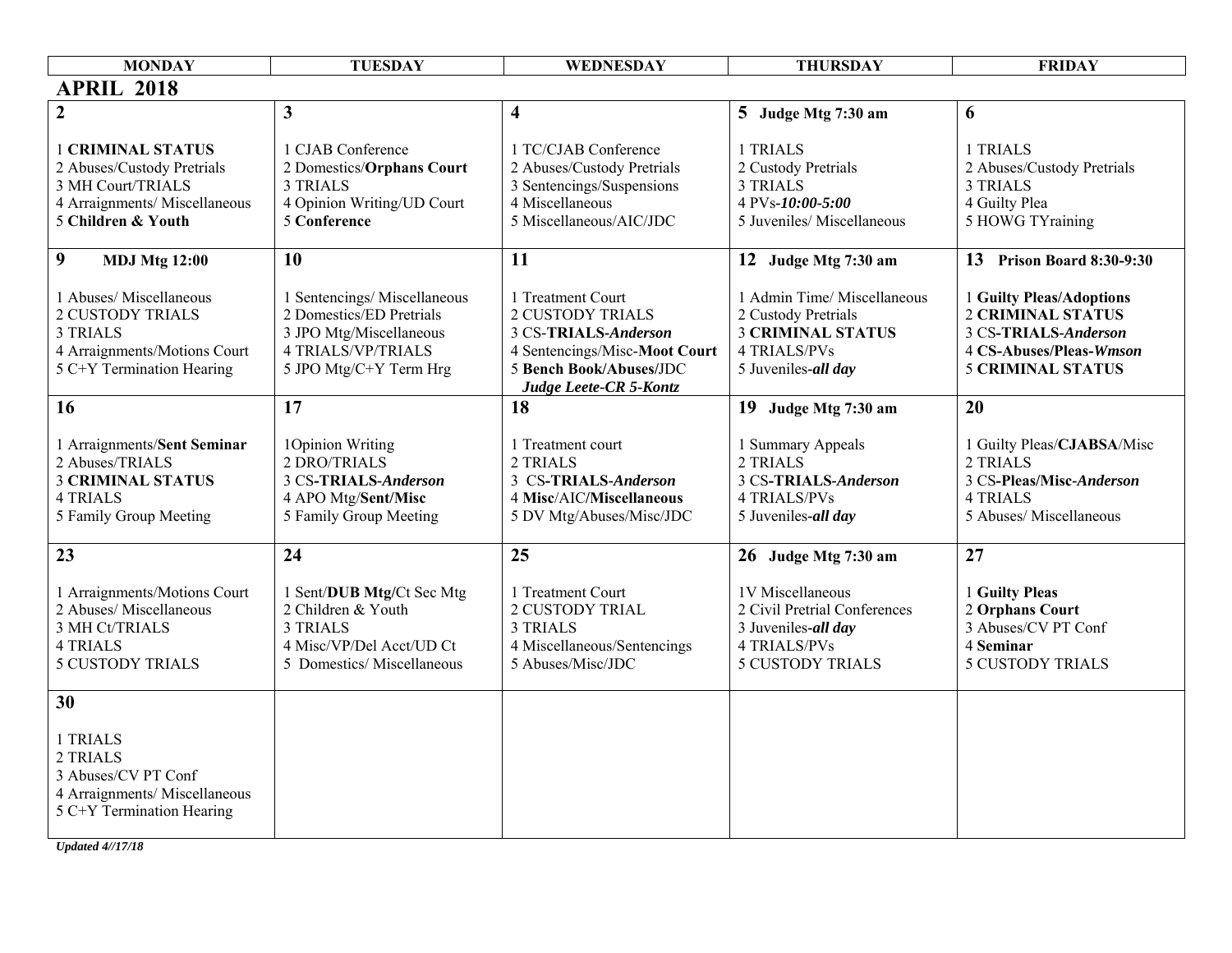| <b>MONDAY</b>                                                                                                                      | <b>TUESDAY</b>                                                                                                                            | WEDNESDAY                                                                                                                                                  | <b>THURSDAY</b>                                                                                                           | <b>FRIDAY</b>                                                                                                                       |
|------------------------------------------------------------------------------------------------------------------------------------|-------------------------------------------------------------------------------------------------------------------------------------------|------------------------------------------------------------------------------------------------------------------------------------------------------------|---------------------------------------------------------------------------------------------------------------------------|-------------------------------------------------------------------------------------------------------------------------------------|
| <b>APRIL 2018</b>                                                                                                                  |                                                                                                                                           |                                                                                                                                                            |                                                                                                                           |                                                                                                                                     |
| $\overline{2}$                                                                                                                     | $\mathbf{3}$                                                                                                                              | $\overline{\mathbf{4}}$                                                                                                                                    | 5 Judge Mtg 7:30 am                                                                                                       | 6                                                                                                                                   |
| <b>1 CRIMINAL STATUS</b><br>2 Abuses/Custody Pretrials<br>3 MH Court/TRIALS<br>4 Arraignments/ Miscellaneous<br>5 Children & Youth | 1 CJAB Conference<br>2 Domestics/Orphans Court<br>3 TRIALS<br>4 Opinion Writing/UD Court<br>5 Conference                                  | 1 TC/CJAB Conference<br>2 Abuses/Custody Pretrials<br>3 Sentencings/Suspensions<br>4 Miscellaneous<br>5 Miscellaneous/AIC/JDC                              | 1 TRIALS<br>2 Custody Pretrials<br>3 TRIALS<br>4 PVs-10:00-5:00<br>5 Juveniles/ Miscellaneous                             | 1 TRIALS<br>2 Abuses/Custody Pretrials<br>3 TRIALS<br>4 Guilty Plea<br>5 HOWG TYraining                                             |
| 9<br><b>MDJ Mtg 12:00</b>                                                                                                          | 10                                                                                                                                        | 11                                                                                                                                                         | 12 Judge Mtg 7:30 am                                                                                                      | 13 Prison Board 8:30-9:30                                                                                                           |
| 1 Abuses/ Miscellaneous<br><b>2 CUSTODY TRIALS</b><br><b>3 TRIALS</b><br>4 Arraignments/Motions Court<br>5 C+Y Termination Hearing | 1 Sentencings/Miscellaneous<br>2 Domestics/ED Pretrials<br>3 JPO Mtg/Miscellaneous<br><b>4 TRIALS/VP/TRIALS</b><br>5 JPO Mtg/C+Y Term Hrg | 1 Treatment Court<br><b>2 CUSTODY TRIALS</b><br>3 CS-TRIALS-Anderson<br>4 Sentencings/Misc-Moot Court<br>5 Bench Book/Abuses/JDC<br>Judge Leete-CR 5-Kontz | 1 Admin Time/ Miscellaneous<br>2 Custody Pretrials<br><b>3 CRIMINAL STATUS</b><br>4 TRIALS/PVs<br>5 Juveniles-all day     | 1 Guilty Pleas/Adoptions<br><b>2 CRIMINAL STATUS</b><br>3 CS-TRIALS-Anderson<br>4 CS-Abuses/Pleas-Wmson<br><b>5 CRIMINAL STATUS</b> |
| 16                                                                                                                                 | 17                                                                                                                                        | 18                                                                                                                                                         | 19 Judge Mtg 7:30 am                                                                                                      | 20                                                                                                                                  |
| 1 Arraignments/Sent Seminar<br>2 Abuses/TRIALS<br><b>3 CRIMINAL STATUS</b><br><b>4 TRIALS</b><br>5 Family Group Meeting            | 1Opinion Writing<br>2 DRO/TRIALS<br>3 CS-TRIALS-Anderson<br>4 APO Mtg/Sent/Misc<br>5 Family Group Meeting                                 | 1 Treatment court<br>2 TRIALS<br>3 CS-TRIALS-Anderson<br>4 Misc/AIC/Miscellaneous<br>5 DV Mtg/Abuses/Misc/JDC                                              | 1 Summary Appeals<br>2 TRIALS<br>3 CS-TRIALS-Anderson<br><b>4 TRIALS/PVs</b><br>5 Juveniles-all day                       | 1 Guilty Pleas/CJABSA/Misc<br>2 TRIALS<br>3 CS-Pleas/Misc-Anderson<br><b>4 TRIALS</b><br>5 Abuses/ Miscellaneous                    |
| 23                                                                                                                                 | 24                                                                                                                                        | 25                                                                                                                                                         | 26 Judge Mtg 7:30 am                                                                                                      | 27                                                                                                                                  |
| 1 Arraignments/Motions Court<br>2 Abuses/ Miscellaneous<br>3 MH Ct/TRIALS<br><b>4 TRIALS</b><br><b>5 CUSTODY TRIALS</b>            | 1 Sent/DUB Mtg/Ct Sec Mtg<br>2 Children & Youth<br>3 TRIALS<br>4 Misc/VP/Del Acct/UD Ct<br>5 Domestics/Miscellaneous                      | 1 Treatment Court<br><b>2 CUSTODY TRIAL</b><br><b>3 TRIALS</b><br>4 Miscellaneous/Sentencings<br>5 Abuses/Misc/JDC                                         | 1V Miscellaneous<br>2 Civil Pretrial Conferences<br>3 Juveniles-all day<br><b>4 TRIALS/PVs</b><br><b>5 CUSTODY TRIALS</b> | 1 Guilty Pleas<br>2 Orphans Court<br>3 Abuses/CV PT Conf<br>4 Seminar<br><b>5 CUSTODY TRIALS</b>                                    |
| 30                                                                                                                                 |                                                                                                                                           |                                                                                                                                                            |                                                                                                                           |                                                                                                                                     |
| 1 TRIALS<br>2 TRIALS<br>3 Abuses/CV PT Conf<br>4 Arraignments/ Miscellaneous<br>5 C+Y Termination Hearing                          |                                                                                                                                           |                                                                                                                                                            |                                                                                                                           |                                                                                                                                     |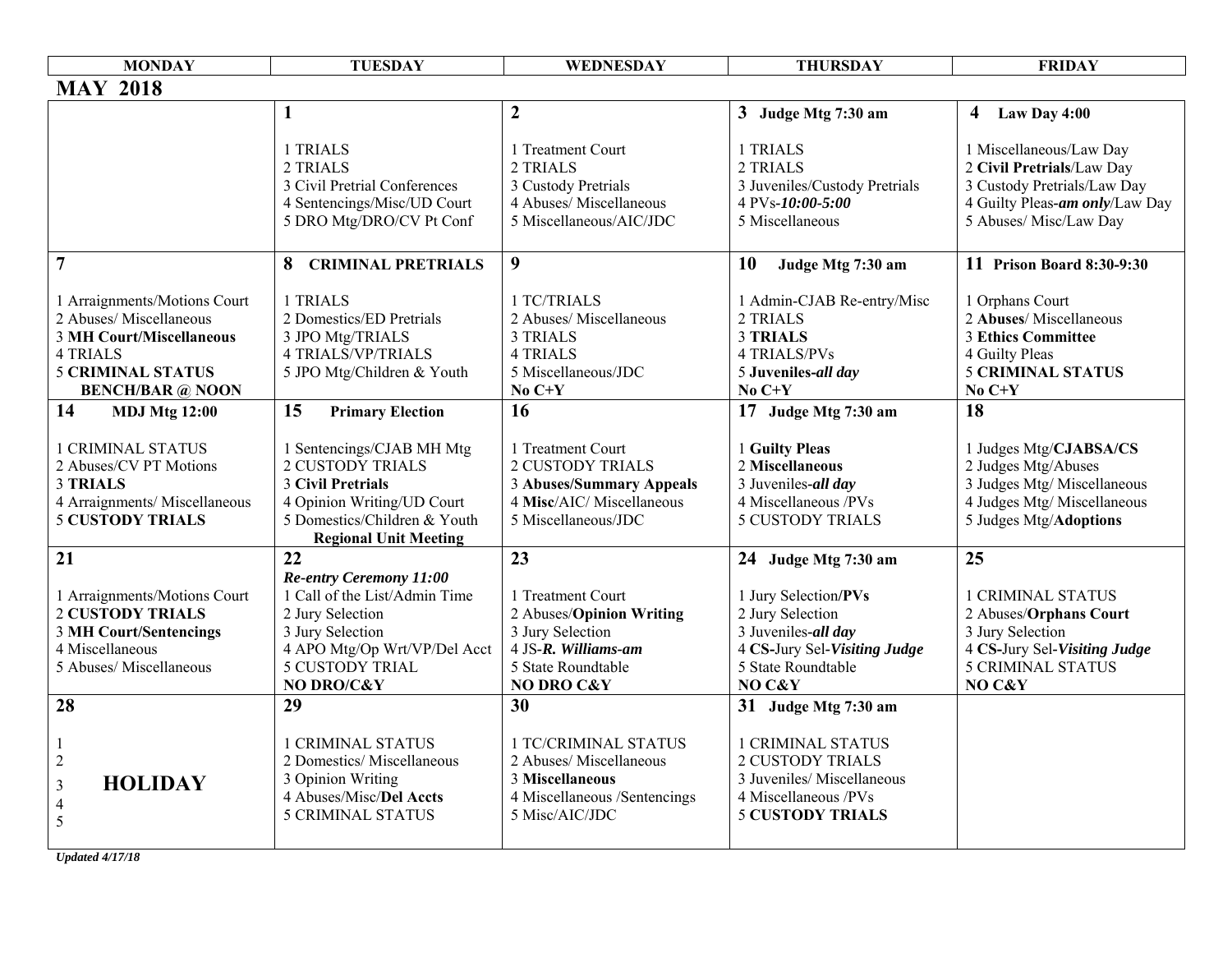| <b>MONDAY</b>                                                                                                                                                 | <b>TUESDAY</b>                                                                                                                                                           | WEDNESDAY                                                                                                                           | <b>THURSDAY</b>                                                                                                                      | <b>FRIDAY</b>                                                                                                                                   |
|---------------------------------------------------------------------------------------------------------------------------------------------------------------|--------------------------------------------------------------------------------------------------------------------------------------------------------------------------|-------------------------------------------------------------------------------------------------------------------------------------|--------------------------------------------------------------------------------------------------------------------------------------|-------------------------------------------------------------------------------------------------------------------------------------------------|
| <b>MAY 2018</b>                                                                                                                                               |                                                                                                                                                                          |                                                                                                                                     |                                                                                                                                      |                                                                                                                                                 |
|                                                                                                                                                               | $\mathbf{1}$                                                                                                                                                             | $\boldsymbol{2}$                                                                                                                    | 3 Judge Mtg 7:30 am                                                                                                                  | Law Day 4:00<br>$\overline{4}$                                                                                                                  |
|                                                                                                                                                               | 1 TRIALS<br>2 TRIALS<br>3 Civil Pretrial Conferences<br>4 Sentencings/Misc/UD Court<br>5 DRO Mtg/DRO/CV Pt Conf                                                          | 1 Treatment Court<br>2 TRIALS<br>3 Custody Pretrials<br>4 Abuses/ Miscellaneous<br>5 Miscellaneous/AIC/JDC                          | 1 TRIALS<br>2 TRIALS<br>3 Juveniles/Custody Pretrials<br>4 PVs-10:00-5:00<br>5 Miscellaneous                                         | 1 Miscellaneous/Law Day<br>2 Civil Pretrials/Law Day<br>3 Custody Pretrials/Law Day<br>4 Guilty Pleas-am only/Law Day<br>5 Abuses/ Misc/Law Day |
| $\overline{7}$                                                                                                                                                | <b>8 CRIMINAL PRETRIALS</b>                                                                                                                                              | $\boldsymbol{9}$                                                                                                                    | <b>10</b><br>Judge Mtg 7:30 am                                                                                                       | 11 Prison Board 8:30-9:30                                                                                                                       |
| 1 Arraignments/Motions Court<br>2 Abuses/ Miscellaneous<br><b>3 MH Court/Miscellaneous</b><br>4 TRIALS<br><b>5 CRIMINAL STATUS</b><br><b>BENCH/BAR</b> @ NOON | 1 TRIALS<br>2 Domestics/ED Pretrials<br>3 JPO Mtg/TRIALS<br><b>4 TRIALS/VP/TRIALS</b><br>5 JPO Mtg/Children & Youth                                                      | 1 TC/TRIALS<br>2 Abuses/ Miscellaneous<br><b>3 TRIALS</b><br><b>4 TRIALS</b><br>5 Miscellaneous/JDC<br>No $C+Y$                     | 1 Admin-CJAB Re-entry/Misc<br>2 TRIALS<br><b>3 TRIALS</b><br><b>4 TRIALS/PVs</b><br>5 Juveniles-all day<br>No $C+Y$                  | 1 Orphans Court<br>2 Abuses/ Miscellaneous<br><b>3 Ethics Committee</b><br>4 Guilty Pleas<br><b>5 CRIMINAL STATUS</b><br>No $C+Y$               |
| 14<br><b>MDJ Mtg 12:00</b>                                                                                                                                    | 15<br><b>Primary Election</b>                                                                                                                                            | 16                                                                                                                                  | 17 Judge Mtg 7:30 am                                                                                                                 | 18                                                                                                                                              |
| <b>1 CRIMINAL STATUS</b><br>2 Abuses/CV PT Motions<br><b>3 TRIALS</b><br>4 Arraignments/ Miscellaneous<br><b>5 CUSTODY TRIALS</b>                             | 1 Sentencings/CJAB MH Mtg<br><b>2 CUSTODY TRIALS</b><br>3 Civil Pretrials<br>4 Opinion Writing/UD Court<br>5 Domestics/Children & Youth<br><b>Regional Unit Meeting</b>  | 1 Treatment Court<br><b>2 CUSTODY TRIALS</b><br><b>3 Abuses/Summary Appeals</b><br>4 Misc/AIC/ Miscellaneous<br>5 Miscellaneous/JDC | 1 Guilty Pleas<br>2 Miscellaneous<br>3 Juveniles-all day<br>4 Miscellaneous /PVs<br><b>5 CUSTODY TRIALS</b>                          | 1 Judges Mtg/CJABSA/CS<br>2 Judges Mtg/Abuses<br>3 Judges Mtg/ Miscellaneous<br>4 Judges Mtg/ Miscellaneous<br>5 Judges Mtg/Adoptions           |
| 21                                                                                                                                                            | 22                                                                                                                                                                       | 23                                                                                                                                  | 24 Judge Mtg 7:30 am                                                                                                                 | 25                                                                                                                                              |
| 1 Arraignments/Motions Court<br><b>2 CUSTODY TRIALS</b><br><b>3 MH Court/Sentencings</b><br>4 Miscellaneous<br>5 Abuses/ Miscellaneous                        | Re-entry Ceremony 11:00<br>1 Call of the List/Admin Time<br>2 Jury Selection<br>3 Jury Selection<br>4 APO Mtg/Op Wrt/VP/Del Acct<br><b>5 CUSTODY TRIAL</b><br>NO DRO/C&Y | 1 Treatment Court<br>2 Abuses/Opinion Writing<br>3 Jury Selection<br>4 JS-R. Williams-am<br>5 State Roundtable<br>NO DRO C&Y        | 1 Jury Selection/PVs<br>2 Jury Selection<br>3 Juveniles-all day<br>4 CS-Jury Sel-Visiting Judge<br>5 State Roundtable<br>NO C&Y      | <b>1 CRIMINAL STATUS</b><br>2 Abuses/Orphans Court<br>3 Jury Selection<br>4 CS-Jury Sel-Visiting Judge<br><b>5 CRIMINAL STATUS</b><br>NO C&Y    |
| 28                                                                                                                                                            | 29                                                                                                                                                                       | 30                                                                                                                                  | 31 Judge Mtg 7:30 am                                                                                                                 |                                                                                                                                                 |
| $\sqrt{2}$<br><b>HOLIDAY</b><br>$\mathfrak{Z}$<br>$\overline{4}$<br>5                                                                                         | <b>1 CRIMINAL STATUS</b><br>2 Domestics/ Miscellaneous<br>3 Opinion Writing<br>4 Abuses/Misc/Del Accts<br><b>5 CRIMINAL STATUS</b>                                       | <b>1 TC/CRIMINAL STATUS</b><br>2 Abuses/ Miscellaneous<br>3 Miscellaneous<br>4 Miscellaneous /Sentencings<br>5 Misc/AIC/JDC         | <b>1 CRIMINAL STATUS</b><br><b>2 CUSTODY TRIALS</b><br>3 Juveniles/ Miscellaneous<br>4 Miscellaneous /PVs<br><b>5 CUSTODY TRIALS</b> |                                                                                                                                                 |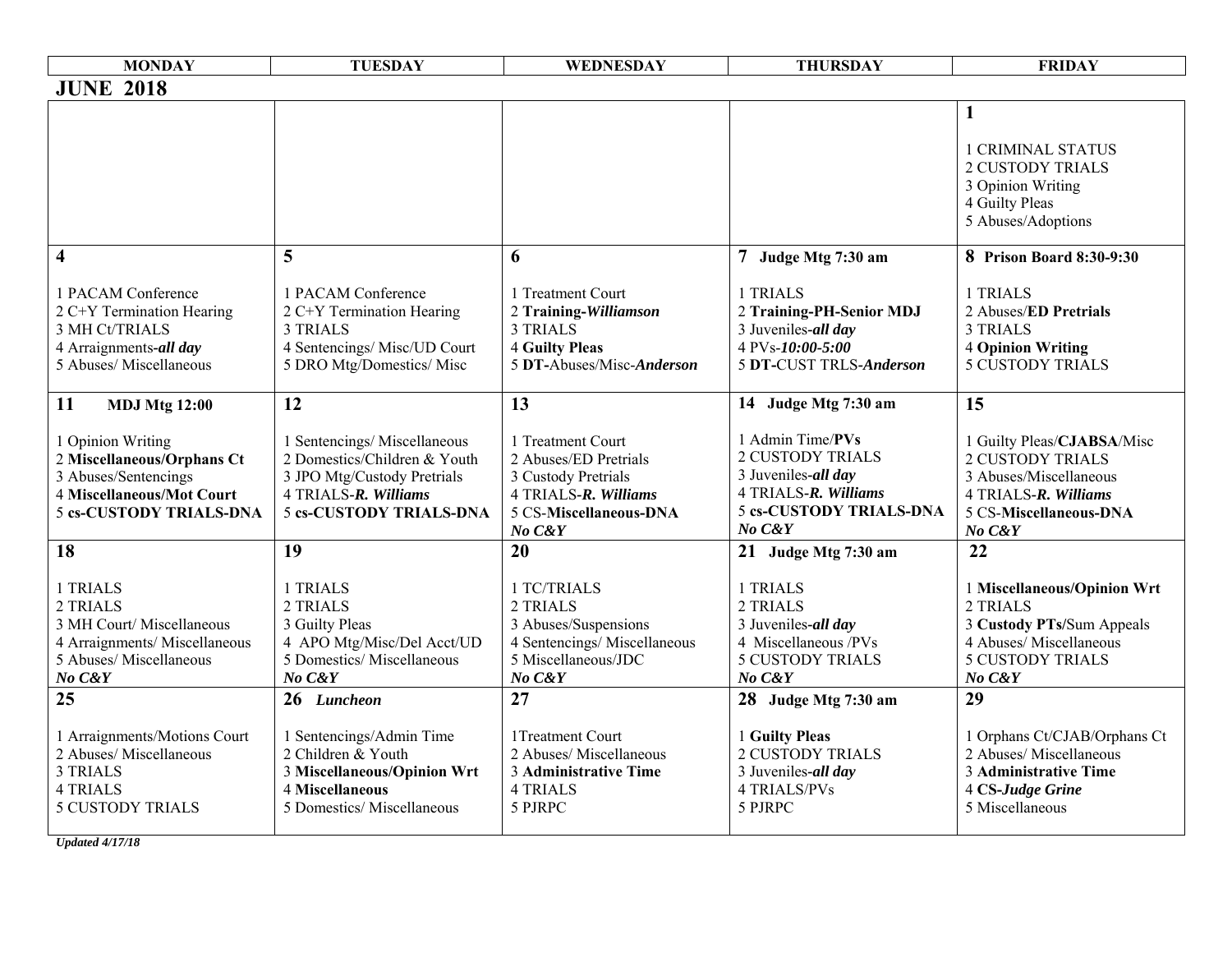| <b>MONDAY</b>                                                                                                                                                        | <b>TUESDAY</b>                                                                                                                                             | WEDNESDAY                                                                                                                           | <b>THURSDAY</b>                                                                                                                                                | <b>FRIDAY</b>                                                                                                                                                |
|----------------------------------------------------------------------------------------------------------------------------------------------------------------------|------------------------------------------------------------------------------------------------------------------------------------------------------------|-------------------------------------------------------------------------------------------------------------------------------------|----------------------------------------------------------------------------------------------------------------------------------------------------------------|--------------------------------------------------------------------------------------------------------------------------------------------------------------|
| <b>JUNE 2018</b>                                                                                                                                                     |                                                                                                                                                            |                                                                                                                                     |                                                                                                                                                                |                                                                                                                                                              |
| $\overline{\mathbf{4}}$                                                                                                                                              | 5                                                                                                                                                          | 6                                                                                                                                   | 7 Judge Mtg 7:30 am                                                                                                                                            | $\mathbf{1}$<br><b>1 CRIMINAL STATUS</b><br><b>2 CUSTODY TRIALS</b><br>3 Opinion Writing<br>4 Guilty Pleas<br>5 Abuses/Adoptions<br>8 Prison Board 8:30-9:30 |
| 1 PACAM Conference<br>2 C+Y Termination Hearing<br>3 MH Ct/TRIALS<br>4 Arraignments-all day<br>5 Abuses/ Miscellaneous                                               | 1 PACAM Conference<br>2 C+Y Termination Hearing<br><b>3 TRIALS</b><br>4 Sentencings/ Misc/UD Court<br>5 DRO Mtg/Domestics/ Misc                            | 1 Treatment Court<br>2 Training-Williamson<br><b>3 TRIALS</b><br><b>4 Guilty Pleas</b><br>5 DT-Abuses/Misc-Anderson                 | 1 TRIALS<br>2 Training-PH-Senior MDJ<br>3 Juveniles-all day<br>4 PVs-10:00-5:00<br>5 DT-CUST TRLS-Anderson                                                     | 1 TRIALS<br>2 Abuses/ED Pretrials<br><b>3 TRIALS</b><br><b>4 Opinion Writing</b><br><b>5 CUSTODY TRIALS</b>                                                  |
| 11<br><b>MDJ Mtg 12:00</b><br>1 Opinion Writing<br>2 Miscellaneous/Orphans Ct<br>3 Abuses/Sentencings<br>4 Miscellaneous/Mot Court<br><b>5 cs-CUSTODY TRIALS-DNA</b> | 12<br>1 Sentencings/Miscellaneous<br>2 Domestics/Children & Youth<br>3 JPO Mtg/Custody Pretrials<br>4 TRIALS-R. Williams<br><b>5 cs-CUSTODY TRIALS-DNA</b> | 13<br>1 Treatment Court<br>2 Abuses/ED Pretrials<br>3 Custody Pretrials<br>4 TRIALS-R. Williams<br>5 CS-Miscellaneous-DNA<br>No C&Y | 14 Judge Mtg 7:30 am<br>1 Admin Time/PVs<br><b>2 CUSTODY TRIALS</b><br>3 Juveniles-all day<br>4 TRIALS-R. Williams<br><b>5 cs-CUSTODY TRIALS-DNA</b><br>No C&Y | 15<br>1 Guilty Pleas/CJABSA/Misc<br><b>2 CUSTODY TRIALS</b><br>3 Abuses/Miscellaneous<br>4 TRIALS-R. Williams<br>5 CS-Miscellaneous-DNA<br>No C&Y            |
| 18<br>1 TRIALS<br>2 TRIALS<br>3 MH Court/ Miscellaneous<br>4 Arraignments/ Miscellaneous<br>5 Abuses/ Miscellaneous<br>No C&Y                                        | 19<br>1 TRIALS<br>2 TRIALS<br>3 Guilty Pleas<br>4 APO Mtg/Misc/Del Acct/UD<br>5 Domestics/ Miscellaneous<br>No C&Y                                         | 20<br>1 TC/TRIALS<br>2 TRIALS<br>3 Abuses/Suspensions<br>4 Sentencings/ Miscellaneous<br>5 Miscellaneous/JDC<br>No C&Y              | 21 Judge Mtg 7:30 am<br>1 TRIALS<br>2 TRIALS<br>3 Juveniles-all day<br>4 Miscellaneous /PVs<br><b>5 CUSTODY TRIALS</b><br>No C&Y                               | 22<br>1 Miscellaneous/Opinion Wrt<br>2 TRIALS<br>3 Custody PTs/Sum Appeals<br>4 Abuses/ Miscellaneous<br><b>5 CUSTODY TRIALS</b><br>No C&Y                   |
| 25<br>1 Arraignments/Motions Court<br>2 Abuses/ Miscellaneous<br>3 TRIALS<br><b>4 TRIALS</b><br><b>5 CUSTODY TRIALS</b>                                              | 26 Luncheon<br>1 Sentencings/Admin Time<br>2 Children & Youth<br>3 Miscellaneous/Opinion Wrt<br>4 Miscellaneous<br>5 Domestics/ Miscellaneous              | 27<br>1Treatment Court<br>2 Abuses/ Miscellaneous<br><b>3 Administrative Time</b><br><b>4 TRIALS</b><br>5 PJRPC                     | 28 Judge Mtg 7:30 am<br>1 Guilty Pleas<br>2 CUSTODY TRIALS<br>3 Juveniles-all day<br><b>4 TRIALS/PVs</b><br>5 PJRPC                                            | 29<br>1 Orphans Ct/CJAB/Orphans Ct<br>2 Abuses/ Miscellaneous<br><b>3 Administrative Time</b><br>4 CS-Judge Grine<br>5 Miscellaneous                         |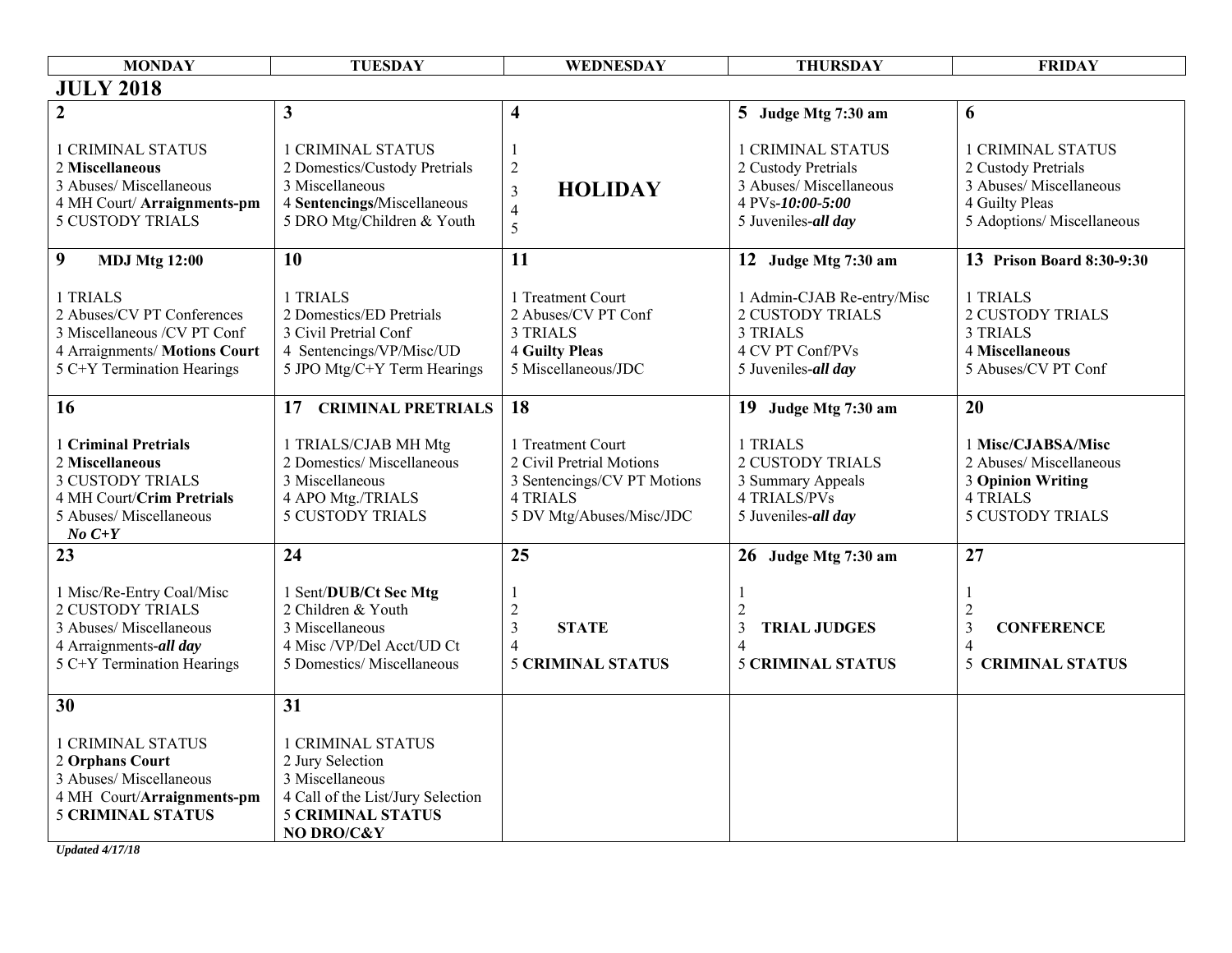| <b>MONDAY</b>                                                                                                                           | <b>TUESDAY</b>                                                                                                                                 | WEDNESDAY                                                                                                                   | <b>THURSDAY</b>                                                                                                       | <b>FRIDAY</b>                                                                                                              |
|-----------------------------------------------------------------------------------------------------------------------------------------|------------------------------------------------------------------------------------------------------------------------------------------------|-----------------------------------------------------------------------------------------------------------------------------|-----------------------------------------------------------------------------------------------------------------------|----------------------------------------------------------------------------------------------------------------------------|
| <b>JULY 2018</b>                                                                                                                        |                                                                                                                                                |                                                                                                                             |                                                                                                                       |                                                                                                                            |
| $\overline{2}$                                                                                                                          | $\mathbf{3}$                                                                                                                                   | $\overline{\mathbf{4}}$                                                                                                     | 5 Judge Mtg 7:30 am                                                                                                   | 6                                                                                                                          |
| <b>1 CRIMINAL STATUS</b><br>2 Miscellaneous<br>3 Abuses/ Miscellaneous<br>4 MH Court/Arraignments-pm<br><b>5 CUSTODY TRIALS</b>         | <b>1 CRIMINAL STATUS</b><br>2 Domestics/Custody Pretrials<br>3 Miscellaneous<br>4 Sentencings/Miscellaneous<br>5 DRO Mtg/Children & Youth      | -1<br>$\sqrt{2}$<br><b>HOLIDAY</b><br>$\mathfrak{Z}$<br>$\overline{4}$<br>5                                                 | <b>1 CRIMINAL STATUS</b><br>2 Custody Pretrials<br>3 Abuses/ Miscellaneous<br>4 PVs-10:00-5:00<br>5 Juveniles-all day | <b>1 CRIMINAL STATUS</b><br>2 Custody Pretrials<br>3 Abuses/ Miscellaneous<br>4 Guilty Pleas<br>5 Adoptions/ Miscellaneous |
| 9<br><b>MDJ Mtg 12:00</b>                                                                                                               | 10                                                                                                                                             | 11                                                                                                                          | 12 Judge Mtg 7:30 am                                                                                                  | 13 Prison Board 8:30-9:30                                                                                                  |
| 1 TRIALS<br>2 Abuses/CV PT Conferences<br>3 Miscellaneous /CV PT Conf<br>4 Arraignments/ Motions Court<br>5 C+Y Termination Hearings    | 1 TRIALS<br>2 Domestics/ED Pretrials<br>3 Civil Pretrial Conf<br>4 Sentencings/VP/Misc/UD<br>5 JPO Mtg/C+Y Term Hearings                       | 1 Treatment Court<br>2 Abuses/CV PT Conf<br><b>3 TRIALS</b><br><b>4 Guilty Pleas</b><br>5 Miscellaneous/JDC                 | 1 Admin-CJAB Re-entry/Misc<br><b>2 CUSTODY TRIALS</b><br><b>3 TRIALS</b><br>4 CV PT Conf/PVs<br>5 Juveniles-all day   | 1 TRIALS<br><b>2 CUSTODY TRIALS</b><br><b>3 TRIALS</b><br>4 Miscellaneous<br>5 Abuses/CV PT Conf                           |
| 16                                                                                                                                      | 17 CRIMINAL PRETRIALS                                                                                                                          | 18                                                                                                                          | 19 Judge Mtg 7:30 am                                                                                                  | 20                                                                                                                         |
| 1 Criminal Pretrials<br>2 Miscellaneous<br><b>3 CUSTODY TRIALS</b><br>4 MH Court/Crim Pretrials<br>5 Abuses/ Miscellaneous<br>$No C+Y$  | 1 TRIALS/CJAB MH Mtg<br>2 Domestics/ Miscellaneous<br>3 Miscellaneous<br>4 APO Mtg./TRIALS<br><b>5 CUSTODY TRIALS</b>                          | 1 Treatment Court<br>2 Civil Pretrial Motions<br>3 Sentencings/CV PT Motions<br><b>4 TRIALS</b><br>5 DV Mtg/Abuses/Misc/JDC | 1 TRIALS<br><b>2 CUSTODY TRIALS</b><br>3 Summary Appeals<br><b>4 TRIALS/PVs</b><br>5 Juveniles-all day                | 1 Misc/CJABSA/Misc<br>2 Abuses/ Miscellaneous<br><b>3 Opinion Writing</b><br><b>4 TRIALS</b><br><b>5 CUSTODY TRIALS</b>    |
| 23                                                                                                                                      | 24                                                                                                                                             | 25                                                                                                                          | 26 Judge Mtg 7:30 am                                                                                                  | 27                                                                                                                         |
| 1 Misc/Re-Entry Coal/Misc<br><b>2 CUSTODY TRIALS</b><br>3 Abuses/ Miscellaneous<br>4 Arraignments-all day<br>5 C+Y Termination Hearings | 1 Sent/DUB/Ct Sec Mtg<br>2 Children & Youth<br>3 Miscellaneous<br>4 Misc /VP/Del Acct/UD Ct<br>5 Domestics/ Miscellaneous                      | $\overline{c}$<br>$\overline{3}$<br><b>STATE</b><br>$\overline{4}$<br><b>5 CRIMINAL STATUS</b>                              | $\overline{2}$<br>3<br><b>TRIAL JUDGES</b><br>4<br><b>5 CRIMINAL STATUS</b>                                           | -1<br>$\overline{c}$<br>$\overline{3}$<br><b>CONFERENCE</b><br>$\overline{4}$<br><b>CRIMINAL STATUS</b><br>5               |
| 30                                                                                                                                      | 31                                                                                                                                             |                                                                                                                             |                                                                                                                       |                                                                                                                            |
| <b>1 CRIMINAL STATUS</b><br>2 Orphans Court<br>3 Abuses/ Miscellaneous<br>4 MH Court/Arraignments-pm<br><b>5 CRIMINAL STATUS</b>        | <b>1 CRIMINAL STATUS</b><br>2 Jury Selection<br>3 Miscellaneous<br>4 Call of the List/Jury Selection<br><b>5 CRIMINAL STATUS</b><br>NO DRO/C&Y |                                                                                                                             |                                                                                                                       |                                                                                                                            |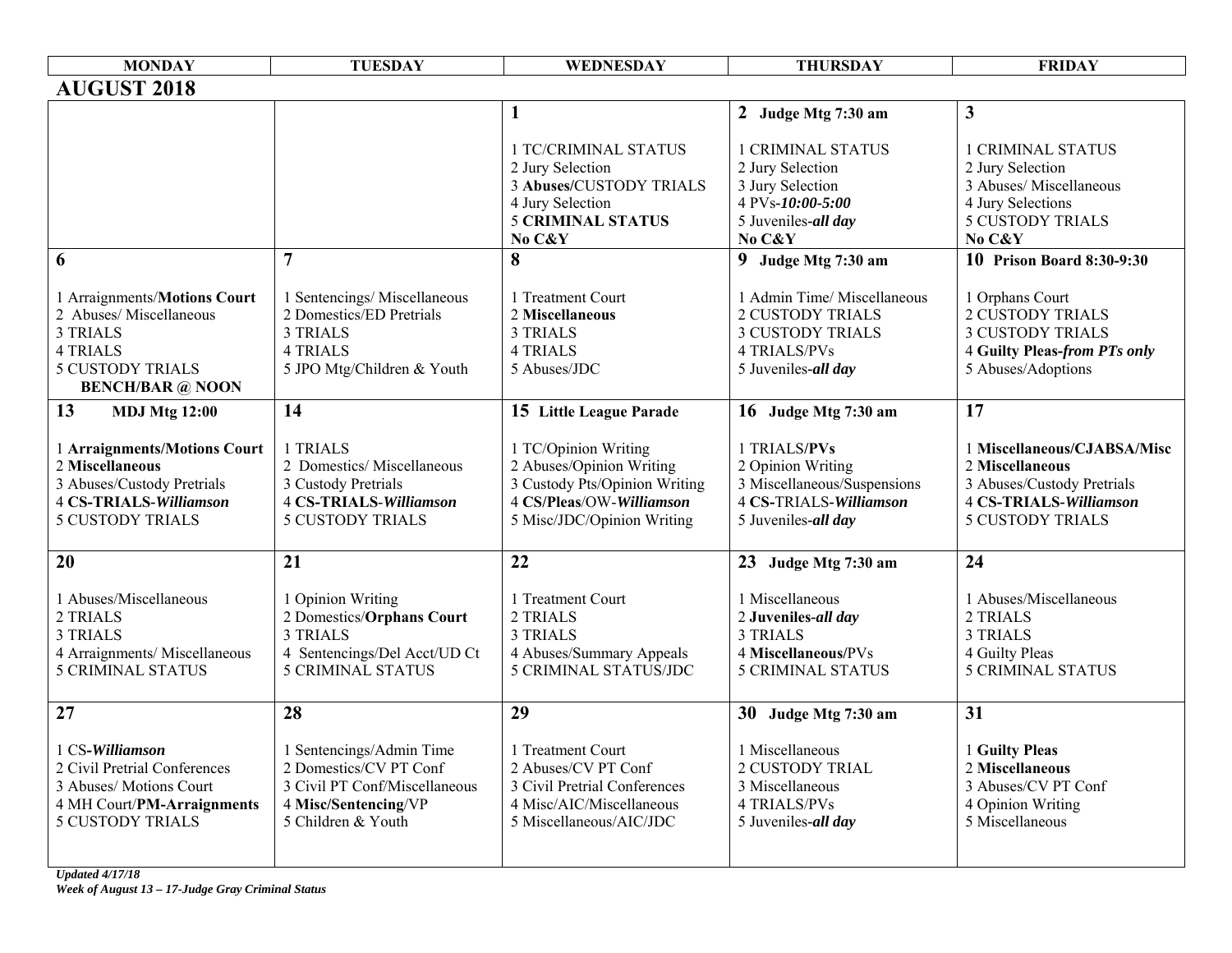| <b>MONDAY</b>                 | <b>TUESDAY</b>                | WEDNESDAY                      | <b>THURSDAY</b>               | <b>FRIDAY</b>                                |
|-------------------------------|-------------------------------|--------------------------------|-------------------------------|----------------------------------------------|
| <b>AUGUST 2018</b>            |                               |                                |                               |                                              |
|                               |                               | $\mathbf{1}$                   | 2 Judge Mtg 7:30 am           | 3                                            |
|                               |                               |                                |                               |                                              |
|                               |                               | 1 TC/CRIMINAL STATUS           | <b>1 CRIMINAL STATUS</b>      | <b>1 CRIMINAL STATUS</b>                     |
|                               |                               | 2 Jury Selection               | 2 Jury Selection              | 2 Jury Selection                             |
|                               |                               | <b>3 Abuses/CUSTODY TRIALS</b> | 3 Jury Selection              | 3 Abuses/ Miscellaneous                      |
|                               |                               | 4 Jury Selection               | 4 PVs-10:00-5:00              | 4 Jury Selections<br><b>5 CUSTODY TRIALS</b> |
|                               |                               | <b>5 CRIMINAL STATUS</b>       | 5 Juveniles-all day<br>No C&Y | No C&Y                                       |
| 6                             | $\overline{7}$                | No C&Y<br>8                    |                               | <b>10 Prison Board 8:30-9:30</b>             |
|                               |                               |                                | 9 Judge Mtg 7:30 am           |                                              |
| 1 Arraignments/Motions Court  | 1 Sentencings/Miscellaneous   | 1 Treatment Court              | 1 Admin Time/ Miscellaneous   | 1 Orphans Court                              |
| 2 Abuses/Miscellaneous        | 2 Domestics/ED Pretrials      | 2 Miscellaneous                | <b>2 CUSTODY TRIALS</b>       | <b>2 CUSTODY TRIALS</b>                      |
| <b>3 TRIALS</b>               | <b>3 TRIALS</b>               | 3 TRIALS                       | <b>3 CUSTODY TRIALS</b>       | <b>3 CUSTODY TRIALS</b>                      |
| <b>4 TRIALS</b>               | <b>4 TRIALS</b>               | <b>4 TRIALS</b>                | 4 TRIALS/PVs                  | <b>4 Guilty Pleas-from PTs only</b>          |
| <b>5 CUSTODY TRIALS</b>       | 5 JPO Mtg/Children & Youth    | 5 Abuses/JDC                   | 5 Juveniles-all day           | 5 Abuses/Adoptions                           |
| <b>BENCH/BAR @ NOON</b>       |                               |                                |                               |                                              |
| 13<br><b>MDJ Mtg 12:00</b>    | 14                            | 15 Little League Parade        | 16 Judge Mtg 7:30 am          | $\overline{17}$                              |
|                               |                               |                                |                               |                                              |
| 1 Arraignments/Motions Court  | 1 TRIALS                      | 1 TC/Opinion Writing           | 1 TRIALS/PVs                  | 1 Miscellaneous/CJABSA/Misc                  |
| 2 Miscellaneous               | 2 Domestics/ Miscellaneous    | 2 Abuses/Opinion Writing       | 2 Opinion Writing             | 2 Miscellaneous                              |
| 3 Abuses/Custody Pretrials    | 3 Custody Pretrials           | 3 Custody Pts/Opinion Writing  | 3 Miscellaneous/Suspensions   | 3 Abuses/Custody Pretrials                   |
| <b>4 CS-TRIALS-Williamson</b> | <b>4 CS-TRIALS-Williamson</b> | 4 CS/Pleas/OW-Williamson       | 4 CS-TRIALS-Williamson        | <b>4 CS-TRIALS-Williamson</b>                |
| <b>5 CUSTODY TRIALS</b>       | <b>5 CUSTODY TRIALS</b>       | 5 Misc/JDC/Opinion Writing     | 5 Juveniles-all day           | <b>5 CUSTODY TRIALS</b>                      |
|                               |                               |                                |                               |                                              |
| 20                            | 21                            | 22                             | 23 Judge Mtg 7:30 am          | 24                                           |
| 1 Abuses/Miscellaneous        | 1 Opinion Writing             | 1 Treatment Court              | 1 Miscellaneous               | 1 Abuses/Miscellaneous                       |
| 2 TRIALS                      | 2 Domestics/Orphans Court     | 2 TRIALS                       | 2 Juveniles-all day           | 2 TRIALS                                     |
| <b>3 TRIALS</b>               | <b>3 TRIALS</b>               | <b>3 TRIALS</b>                | <b>3 TRIALS</b>               | <b>3 TRIALS</b>                              |
| 4 Arraignments/ Miscellaneous | 4 Sentencings/Del Acct/UD Ct  | 4 Abuses/Summary Appeals       | 4 Miscellaneous/PVs           | 4 Guilty Pleas                               |
| <b>5 CRIMINAL STATUS</b>      | <b>5 CRIMINAL STATUS</b>      | <b>5 CRIMINAL STATUS/JDC</b>   | <b>5 CRIMINAL STATUS</b>      | <b>5 CRIMINAL STATUS</b>                     |
|                               |                               |                                |                               |                                              |
| 27                            | 28                            | 29                             | 30 Judge Mtg 7:30 am          | 31                                           |
|                               |                               |                                |                               |                                              |
| 1 CS-Williamson               | 1 Sentencings/Admin Time      | 1 Treatment Court              | 1 Miscellaneous               | 1 Guilty Pleas                               |
| 2 Civil Pretrial Conferences  | 2 Domestics/CV PT Conf        | 2 Abuses/CV PT Conf            | <b>2 CUSTODY TRIAL</b>        | 2 Miscellaneous                              |
| 3 Abuses/ Motions Court       | 3 Civil PT Conf/Miscellaneous | 3 Civil Pretrial Conferences   | 3 Miscellaneous               | 3 Abuses/CV PT Conf                          |
| 4 MH Court/PM-Arraignments    | 4 Misc/Sentencing/VP          | 4 Misc/AIC/Miscellaneous       | 4 TRIALS/PVs                  | 4 Opinion Writing                            |
| <b>5 CUSTODY TRIALS</b>       | 5 Children & Youth            | 5 Miscellaneous/AIC/JDC        | 5 Juveniles-all day           | 5 Miscellaneous                              |
|                               |                               |                                |                               |                                              |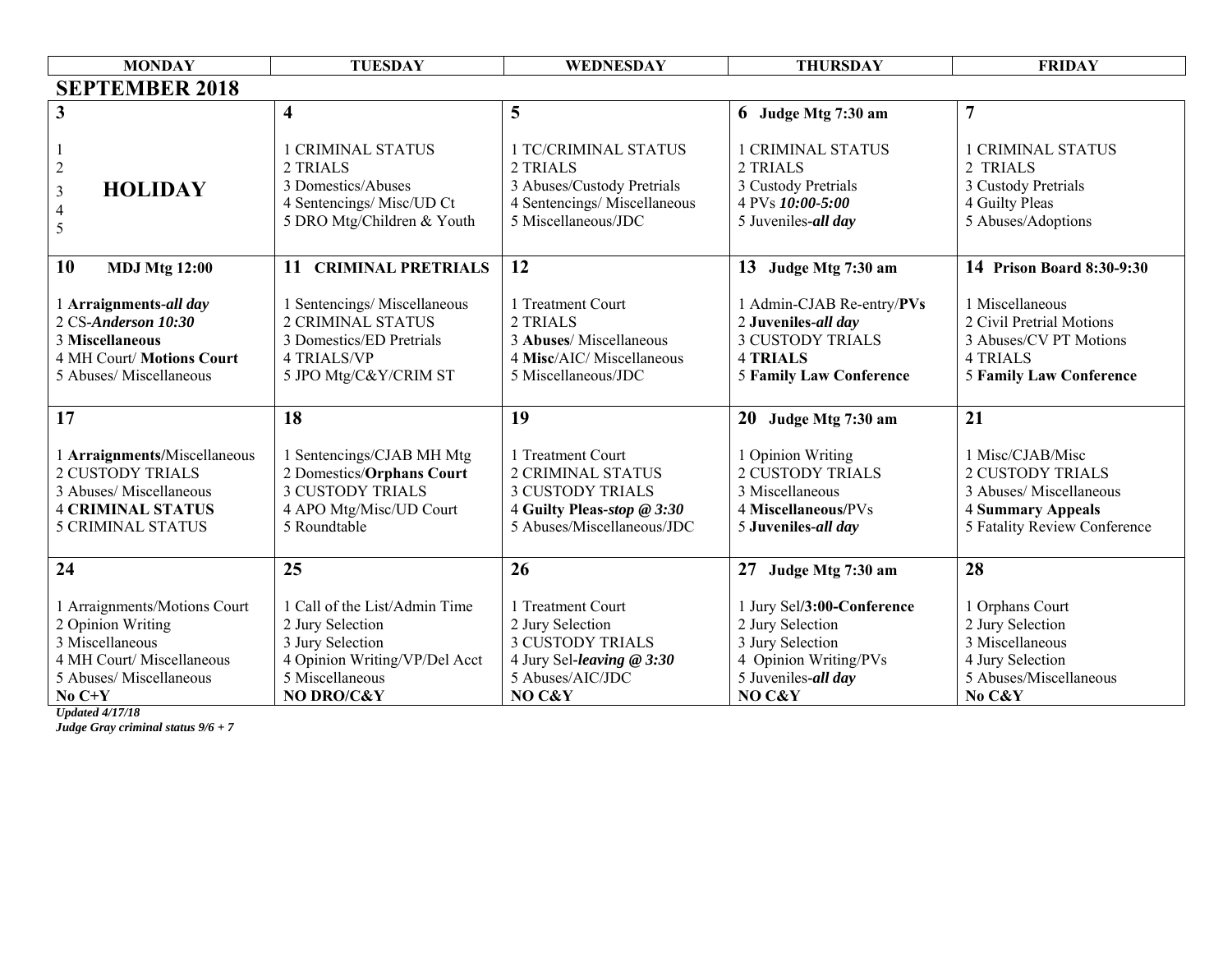| <b>MONDAY</b>                                                                                                                              | <b>TUESDAY</b>                                                                                                                          | WEDNESDAY                                                                                                                            | <b>THURSDAY</b>                                                                                                                  | <b>FRIDAY</b>                                                                                                                      |
|--------------------------------------------------------------------------------------------------------------------------------------------|-----------------------------------------------------------------------------------------------------------------------------------------|--------------------------------------------------------------------------------------------------------------------------------------|----------------------------------------------------------------------------------------------------------------------------------|------------------------------------------------------------------------------------------------------------------------------------|
| <b>SEPTEMBER 2018</b>                                                                                                                      |                                                                                                                                         |                                                                                                                                      |                                                                                                                                  |                                                                                                                                    |
| 3                                                                                                                                          | $\overline{\mathbf{4}}$                                                                                                                 | 5                                                                                                                                    | 6 Judge Mtg 7:30 am                                                                                                              | $\overline{7}$                                                                                                                     |
| $\overline{c}$<br><b>HOLIDAY</b><br>$\mathfrak{Z}$<br>$\overline{4}$<br>5                                                                  | <b>1 CRIMINAL STATUS</b><br>2 TRIALS<br>3 Domestics/Abuses<br>4 Sentencings/ Misc/UD Ct<br>5 DRO Mtg/Children & Youth                   | <b>1 TC/CRIMINAL STATUS</b><br>2 TRIALS<br>3 Abuses/Custody Pretrials<br>4 Sentencings/ Miscellaneous<br>5 Miscellaneous/JDC         | <b>1 CRIMINAL STATUS</b><br>2 TRIALS<br>3 Custody Pretrials<br>4 PVs 10:00-5:00<br>5 Juveniles-all day                           | <b>1 CRIMINAL STATUS</b><br>2 TRIALS<br>3 Custody Pretrials<br>4 Guilty Pleas<br>5 Abuses/Adoptions                                |
| 10<br><b>MDJ Mtg 12:00</b>                                                                                                                 | 11<br><b>CRIMINAL PRETRIALS</b>                                                                                                         | 12                                                                                                                                   | 13 Judge Mtg 7:30 am                                                                                                             | 14 Prison Board 8:30-9:30                                                                                                          |
| 1 Arraignments-all day<br>2 CS-Anderson 10:30<br>3 Miscellaneous<br>4 MH Court/ Motions Court<br>5 Abuses/ Miscellaneous                   | 1 Sentencings/Miscellaneous<br><b>2 CRIMINAL STATUS</b><br>3 Domestics/ED Pretrials<br><b>4 TRIALS/VP</b><br>5 JPO Mtg/C&Y/CRIM ST      | 1 Treatment Court<br>2 TRIALS<br>3 Abuses/ Miscellaneous<br>4 Misc/AIC/ Miscellaneous<br>5 Miscellaneous/JDC                         | 1 Admin-CJAB Re-entry/PVs<br>2 Juveniles-all day<br><b>3 CUSTODY TRIALS</b><br><b>4 TRIALS</b><br><b>5 Family Law Conference</b> | 1 Miscellaneous<br>2 Civil Pretrial Motions<br>3 Abuses/CV PT Motions<br><b>4 TRIALS</b><br><b>5 Family Law Conference</b>         |
| 17                                                                                                                                         | 18                                                                                                                                      | 19                                                                                                                                   | 20 Judge Mtg 7:30 am                                                                                                             | 21                                                                                                                                 |
| 1 Arraignments/Miscellaneous<br><b>2 CUSTODY TRIALS</b><br>3 Abuses/ Miscellaneous<br><b>4 CRIMINAL STATUS</b><br><b>5 CRIMINAL STATUS</b> | 1 Sentencings/CJAB MH Mtg<br>2 Domestics/Orphans Court<br><b>3 CUSTODY TRIALS</b><br>4 APO Mtg/Misc/UD Court<br>5 Roundtable            | 1 Treatment Court<br><b>2 CRIMINAL STATUS</b><br><b>3 CUSTODY TRIALS</b><br>4 Guilty Pleas-stop @ 3:30<br>5 Abuses/Miscellaneous/JDC | 1 Opinion Writing<br><b>2 CUSTODY TRIALS</b><br>3 Miscellaneous<br>4 Miscellaneous/PVs<br>5 Juveniles-all day                    | 1 Misc/CJAB/Misc<br><b>2 CUSTODY TRIALS</b><br>3 Abuses/ Miscellaneous<br><b>4 Summary Appeals</b><br>5 Fatality Review Conference |
| 24                                                                                                                                         | 25                                                                                                                                      | 26                                                                                                                                   | 27<br>Judge Mtg 7:30 am                                                                                                          | 28                                                                                                                                 |
| 1 Arraignments/Motions Court<br>2 Opinion Writing<br>3 Miscellaneous<br>4 MH Court/ Miscellaneous<br>5 Abuses/ Miscellaneous<br>No $C+Y$   | 1 Call of the List/Admin Time<br>2 Jury Selection<br>3 Jury Selection<br>4 Opinion Writing/VP/Del Acct<br>5 Miscellaneous<br>NO DRO/C&Y | 1 Treatment Court<br>2 Jury Selection<br><b>3 CUSTODY TRIALS</b><br>4 Jury Sel-leaving @ 3:30<br>5 Abuses/AIC/JDC<br>NO C&Y          | 1 Jury Sel/3:00-Conference<br>2 Jury Selection<br>3 Jury Selection<br>4 Opinion Writing/PVs<br>5 Juveniles-all day<br>NO C&Y     | 1 Orphans Court<br>2 Jury Selection<br>3 Miscellaneous<br>4 Jury Selection<br>5 Abuses/Miscellaneous<br>No C&Y                     |

*Judge Gray criminal status 9/6 + 7*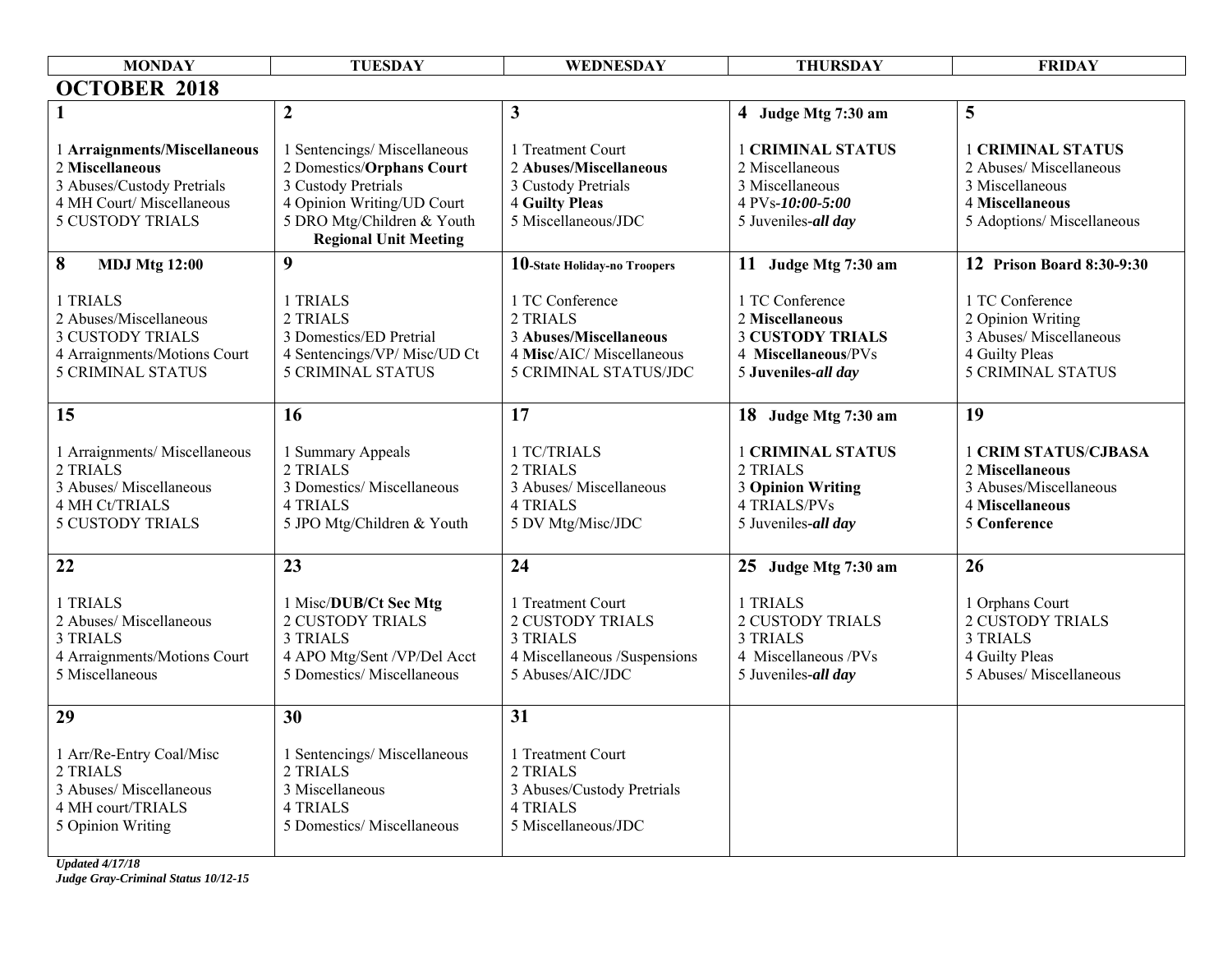| <b>MONDAY</b>                                                                                                                         | <b>TUESDAY</b>                                                                                                                                                              | WEDNESDAY                                                                                                           | <b>THURSDAY</b>                                                                                                | <b>FRIDAY</b>                                                                                                           |
|---------------------------------------------------------------------------------------------------------------------------------------|-----------------------------------------------------------------------------------------------------------------------------------------------------------------------------|---------------------------------------------------------------------------------------------------------------------|----------------------------------------------------------------------------------------------------------------|-------------------------------------------------------------------------------------------------------------------------|
| <b>OCTOBER 2018</b>                                                                                                                   |                                                                                                                                                                             |                                                                                                                     |                                                                                                                |                                                                                                                         |
| 1                                                                                                                                     | $\overline{2}$                                                                                                                                                              | $\mathbf{3}$                                                                                                        | 4 Judge Mtg 7:30 am                                                                                            | 5                                                                                                                       |
| 1 Arraignments/Miscellaneous<br>2 Miscellaneous<br>3 Abuses/Custody Pretrials<br>4 MH Court/ Miscellaneous<br><b>5 CUSTODY TRIALS</b> | 1 Sentencings/Miscellaneous<br>2 Domestics/Orphans Court<br>3 Custody Pretrials<br>4 Opinion Writing/UD Court<br>5 DRO Mtg/Children & Youth<br><b>Regional Unit Meeting</b> | 1 Treatment Court<br>2 Abuses/Miscellaneous<br>3 Custody Pretrials<br><b>4 Guilty Pleas</b><br>5 Miscellaneous/JDC  | <b>1 CRIMINAL STATUS</b><br>2 Miscellaneous<br>3 Miscellaneous<br>4 PVs-10:00-5:00<br>5 Juveniles-all day      | <b>1 CRIMINAL STATUS</b><br>2 Abuses/ Miscellaneous<br>3 Miscellaneous<br>4 Miscellaneous<br>5 Adoptions/ Miscellaneous |
| 8<br><b>MDJ Mtg 12:00</b>                                                                                                             | 9                                                                                                                                                                           | 10-State Holiday-no Troopers                                                                                        | 11 Judge Mtg 7:30 am                                                                                           | 12 Prison Board 8:30-9:30                                                                                               |
| 1 TRIALS<br>2 Abuses/Miscellaneous<br><b>3 CUSTODY TRIALS</b><br>4 Arraignments/Motions Court<br><b>5 CRIMINAL STATUS</b>             | 1 TRIALS<br>2 TRIALS<br>3 Domestics/ED Pretrial<br>4 Sentencings/VP/ Misc/UD Ct<br><b>5 CRIMINAL STATUS</b>                                                                 | 1 TC Conference<br>2 TRIALS<br>3 Abuses/Miscellaneous<br>4 Misc/AIC/ Miscellaneous<br>5 CRIMINAL STATUS/JDC         | 1 TC Conference<br>2 Miscellaneous<br><b>3 CUSTODY TRIALS</b><br>4 Miscellaneous/PVs<br>5 Juveniles-all day    | 1 TC Conference<br>2 Opinion Writing<br>3 Abuses/ Miscellaneous<br>4 Guilty Pleas<br><b>5 CRIMINAL STATUS</b>           |
| 15                                                                                                                                    | 16                                                                                                                                                                          | 17                                                                                                                  | 18 Judge Mtg 7:30 am                                                                                           | 19                                                                                                                      |
| 1 Arraignments/ Miscellaneous<br>2 TRIALS<br>3 Abuses/ Miscellaneous<br>4 MH Ct/TRIALS<br><b>5 CUSTODY TRIALS</b>                     | 1 Summary Appeals<br>2 TRIALS<br>3 Domestics/ Miscellaneous<br><b>4 TRIALS</b><br>5 JPO Mtg/Children & Youth                                                                | 1 TC/TRIALS<br>2 TRIALS<br>3 Abuses/ Miscellaneous<br><b>4 TRIALS</b><br>5 DV Mtg/Misc/JDC                          | <b>1 CRIMINAL STATUS</b><br>2 TRIALS<br><b>3 Opinion Writing</b><br><b>4 TRIALS/PVs</b><br>5 Juveniles-all day | <b>1 CRIM STATUS/CJBASA</b><br>2 Miscellaneous<br>3 Abuses/Miscellaneous<br>4 Miscellaneous<br>5 Conference             |
| 22                                                                                                                                    | 23                                                                                                                                                                          | 24                                                                                                                  | 25 Judge Mtg 7:30 am                                                                                           | 26                                                                                                                      |
| 1 TRIALS<br>2 Abuses/ Miscellaneous<br><b>3 TRIALS</b><br>4 Arraignments/Motions Court<br>5 Miscellaneous                             | 1 Misc/DUB/Ct Sec Mtg<br><b>2 CUSTODY TRIALS</b><br><b>3 TRIALS</b><br>4 APO Mtg/Sent /VP/Del Acct<br>5 Domestics/ Miscellaneous                                            | 1 Treatment Court<br><b>2 CUSTODY TRIALS</b><br><b>3 TRIALS</b><br>4 Miscellaneous /Suspensions<br>5 Abuses/AIC/JDC | 1 TRIALS<br><b>2 CUSTODY TRIALS</b><br>3 TRIALS<br>4 Miscellaneous /PVs<br>5 Juveniles-all day                 | 1 Orphans Court<br><b>2 CUSTODY TRIALS</b><br><b>3 TRIALS</b><br>4 Guilty Pleas<br>5 Abuses/ Miscellaneous              |
| 29                                                                                                                                    | 30                                                                                                                                                                          | 31                                                                                                                  |                                                                                                                |                                                                                                                         |
| 1 Arr/Re-Entry Coal/Misc<br>2 TRIALS<br>3 Abuses/ Miscellaneous<br>4 MH court/TRIALS<br>5 Opinion Writing                             | 1 Sentencings/Miscellaneous<br>2 TRIALS<br>3 Miscellaneous<br><b>4 TRIALS</b><br>5 Domestics/ Miscellaneous                                                                 | 1 Treatment Court<br>2 TRIALS<br>3 Abuses/Custody Pretrials<br><b>4 TRIALS</b><br>5 Miscellaneous/JDC               |                                                                                                                |                                                                                                                         |

*Updated 4/17/18 Judge Gray-Criminal Status 10/12-15*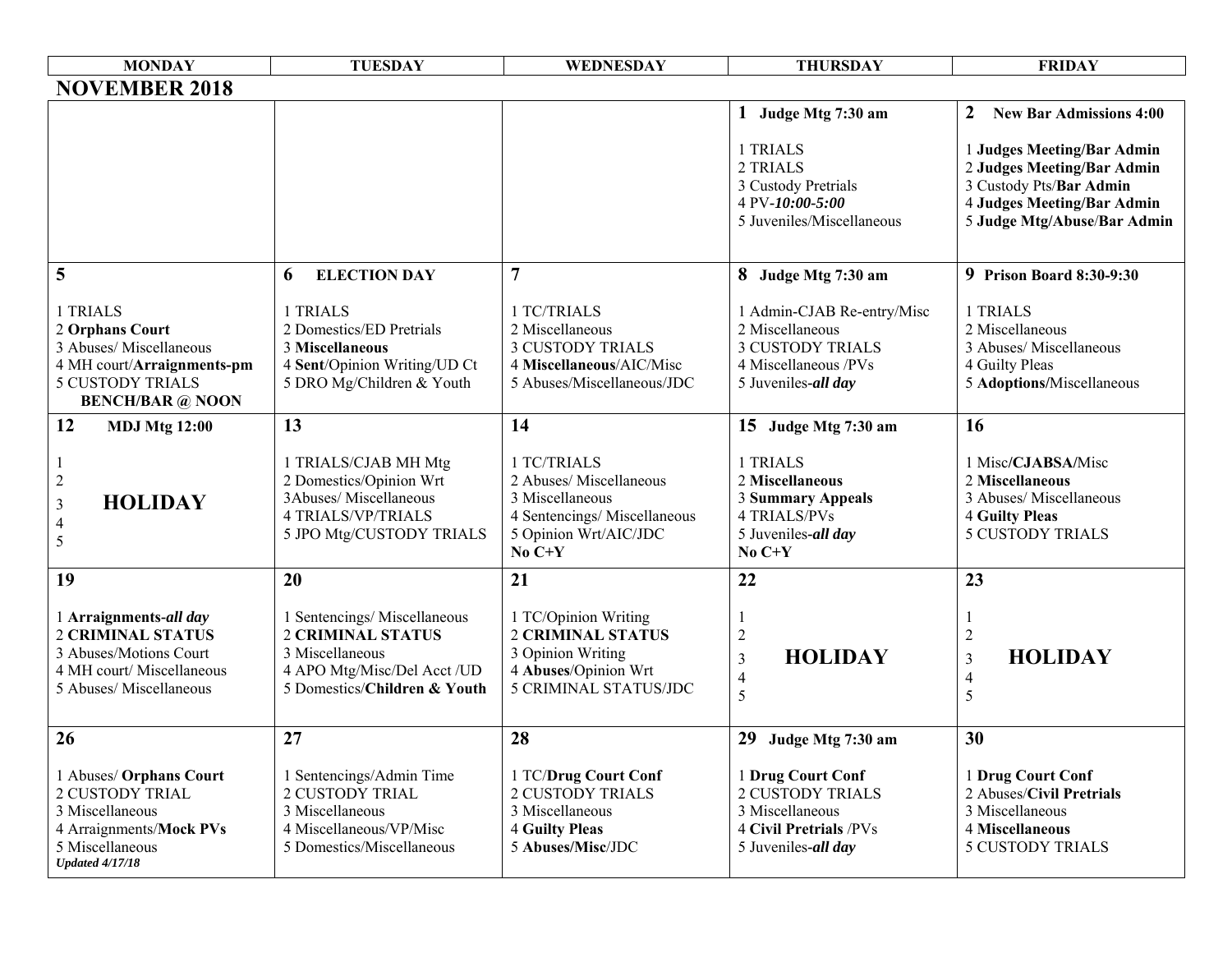| <b>MONDAY</b>                                                                                                                                | <b>TUESDAY</b>                                                                                                                           | WEDNESDAY                                                                                                                      | <b>THURSDAY</b>                                                                                                         | <b>FRIDAY</b>                                                                                                                                    |
|----------------------------------------------------------------------------------------------------------------------------------------------|------------------------------------------------------------------------------------------------------------------------------------------|--------------------------------------------------------------------------------------------------------------------------------|-------------------------------------------------------------------------------------------------------------------------|--------------------------------------------------------------------------------------------------------------------------------------------------|
| <b>NOVEMBER 2018</b>                                                                                                                         |                                                                                                                                          |                                                                                                                                |                                                                                                                         |                                                                                                                                                  |
|                                                                                                                                              |                                                                                                                                          |                                                                                                                                | Judge Mtg 7:30 am                                                                                                       | $\boldsymbol{2}$<br><b>New Bar Admissions 4:00</b>                                                                                               |
|                                                                                                                                              |                                                                                                                                          |                                                                                                                                | 1 TRIALS<br>2 TRIALS<br>3 Custody Pretrials<br>4 PV-10:00-5:00<br>5 Juveniles/Miscellaneous                             | 1 Judges Meeting/Bar Admin<br>2 Judges Meeting/Bar Admin<br>3 Custody Pts/Bar Admin<br>4 Judges Meeting/Bar Admin<br>5 Judge Mtg/Abuse/Bar Admin |
| 5                                                                                                                                            | 6<br><b>ELECTION DAY</b>                                                                                                                 | $\overline{7}$                                                                                                                 | 8 Judge Mtg 7:30 am                                                                                                     | 9 Prison Board 8:30-9:30                                                                                                                         |
| 1 TRIALS<br>2 Orphans Court<br>3 Abuses/ Miscellaneous<br>4 MH court/Arraignments-pm<br><b>5 CUSTODY TRIALS</b><br><b>BENCH/BAR</b> @ NOON   | 1 TRIALS<br>2 Domestics/ED Pretrials<br>3 Miscellaneous<br>4 Sent/Opinion Writing/UD Ct<br>5 DRO Mg/Children & Youth                     | 1 TC/TRIALS<br>2 Miscellaneous<br><b>3 CUSTODY TRIALS</b><br>4 Miscellaneous/AIC/Misc<br>5 Abuses/Miscellaneous/JDC            | 1 Admin-CJAB Re-entry/Misc<br>2 Miscellaneous<br><b>3 CUSTODY TRIALS</b><br>4 Miscellaneous /PVs<br>5 Juveniles-all day | 1 TRIALS<br>2 Miscellaneous<br>3 Abuses/ Miscellaneous<br>4 Guilty Pleas<br>5 Adoptions/Miscellaneous                                            |
| 12<br><b>MDJ Mtg 12:00</b>                                                                                                                   | 13                                                                                                                                       | 14                                                                                                                             | 15 Judge Mtg 7:30 am                                                                                                    | 16                                                                                                                                               |
| $\sqrt{2}$<br><b>HOLIDAY</b><br>$\mathfrak{Z}$<br>$\overline{4}$<br>5                                                                        | 1 TRIALS/CJAB MH Mtg<br>2 Domestics/Opinion Wrt<br>3Abuses/Miscellaneous<br><b>4 TRIALS/VP/TRIALS</b><br>5 JPO Mtg/CUSTODY TRIALS        | 1 TC/TRIALS<br>2 Abuses/ Miscellaneous<br>3 Miscellaneous<br>4 Sentencings/ Miscellaneous<br>5 Opinion Wrt/AIC/JDC<br>No $C+Y$ | 1 TRIALS<br>2 Miscellaneous<br><b>3 Summary Appeals</b><br><b>4 TRIALS/PVs</b><br>5 Juveniles-all day<br>$No C+Y$       | 1 Misc/CJABSA/Misc<br>2 Miscellaneous<br>3 Abuses/ Miscellaneous<br><b>4 Guilty Pleas</b><br><b>5 CUSTODY TRIALS</b>                             |
| 19                                                                                                                                           | 20                                                                                                                                       | 21                                                                                                                             | 22                                                                                                                      | 23                                                                                                                                               |
| 1 Arraignments-all day<br><b>2 CRIMINAL STATUS</b><br>3 Abuses/Motions Court<br>4 MH court/ Miscellaneous<br>5 Abuses/ Miscellaneous         | 1 Sentencings/Miscellaneous<br><b>2 CRIMINAL STATUS</b><br>3 Miscellaneous<br>4 APO Mtg/Misc/Del Acct/UD<br>5 Domestics/Children & Youth | 1 TC/Opinion Writing<br><b>2 CRIMINAL STATUS</b><br>3 Opinion Writing<br>4 Abuses/Opinion Wrt<br><b>5 CRIMINAL STATUS/JDC</b>  | $\overline{2}$<br><b>HOLIDAY</b><br>3<br>4<br>5                                                                         | <b>HOLIDAY</b><br>$\mathfrak{Z}$<br>4<br>5                                                                                                       |
| 26                                                                                                                                           | 27                                                                                                                                       | 28                                                                                                                             | 29<br>Judge Mtg 7:30 am                                                                                                 | 30                                                                                                                                               |
| 1 Abuses/ Orphans Court<br><b>2 CUSTODY TRIAL</b><br>3 Miscellaneous<br>4 Arraignments/Mock PVs<br>5 Miscellaneous<br><b>Updated 4/17/18</b> | 1 Sentencings/Admin Time<br><b>2 CUSTODY TRIAL</b><br>3 Miscellaneous<br>4 Miscellaneous/VP/Misc<br>5 Domestics/Miscellaneous            | 1 TC/Drug Court Conf<br><b>2 CUSTODY TRIALS</b><br>3 Miscellaneous<br><b>4 Guilty Pleas</b><br>5 Abuses/Misc/JDC               | 1 Drug Court Conf<br><b>2 CUSTODY TRIALS</b><br>3 Miscellaneous<br><b>4 Civil Pretrials /PVs</b><br>5 Juveniles-all day | 1 Drug Court Conf<br>2 Abuses/Civil Pretrials<br>3 Miscellaneous<br>4 Miscellaneous<br><b>5 CUSTODY TRIALS</b>                                   |